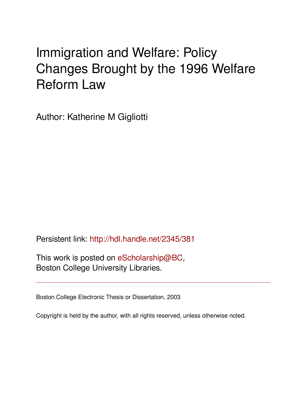# Immigration and Welfare: Policy Changes Brought by the 1996 Welfare Reform Law

Author: Katherine M Gigliotti

Persistent link: <http://hdl.handle.net/2345/381>

This work is posted on [eScholarship@BC](http://escholarship.bc.edu), Boston College University Libraries.

Boston College Electronic Thesis or Dissertation, 2003

Copyright is held by the author, with all rights reserved, unless otherwise noted.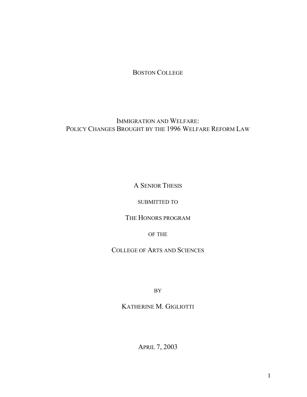BOSTON COLLEGE

# IMMIGRATION AND WELFARE: POLICY CHANGES BROUGHT BY THE 1996 WELFARE REFORM LAW

A SENIOR THESIS

SUBMITTED TO

THE HONORS PROGRAM

OF THE

COLLEGE OF ARTS AND SCIENCES

BY

KATHERINE M. GIGLIOTTI

APRIL 7, 2003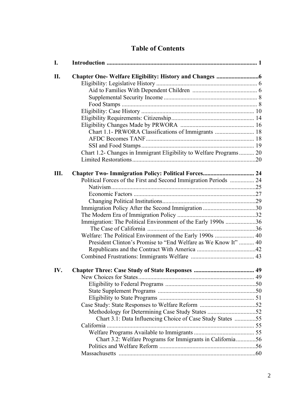# **Table of Contents**

| I.  |                                                                    |  |
|-----|--------------------------------------------------------------------|--|
| П.  |                                                                    |  |
|     |                                                                    |  |
|     |                                                                    |  |
|     |                                                                    |  |
|     |                                                                    |  |
|     |                                                                    |  |
|     |                                                                    |  |
|     |                                                                    |  |
|     | Chart 1.1- PRWORA Classifications of Immigrants  18                |  |
|     |                                                                    |  |
|     |                                                                    |  |
|     | Chart 1.2- Changes in Immigrant Eligibility to Welfare Programs 20 |  |
|     |                                                                    |  |
| Ш.  |                                                                    |  |
|     | Political Forces of the First and Second Immigration Periods  24   |  |
|     |                                                                    |  |
|     |                                                                    |  |
|     |                                                                    |  |
|     |                                                                    |  |
|     |                                                                    |  |
|     | Immigration: The Political Environment of the Early 1990s 36       |  |
|     |                                                                    |  |
|     | Welfare: The Political Environment of the Early 1990s  40          |  |
|     | President Clinton's Promise to "End Welfare as We Know It"  40     |  |
|     |                                                                    |  |
|     |                                                                    |  |
|     |                                                                    |  |
| IV. |                                                                    |  |
|     |                                                                    |  |
|     |                                                                    |  |
|     |                                                                    |  |
|     |                                                                    |  |
|     |                                                                    |  |
|     |                                                                    |  |
|     | Chart 3.1: Data Influencing Choice of Case Study States 55         |  |
|     |                                                                    |  |
|     |                                                                    |  |
|     | Chart 3.2: Welfare Programs for Immigrants in California56         |  |
|     |                                                                    |  |
|     |                                                                    |  |
|     |                                                                    |  |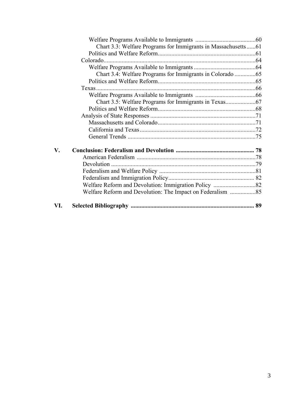| V.  |  |
|-----|--|
|     |  |
|     |  |
|     |  |
|     |  |
|     |  |
|     |  |
| VI. |  |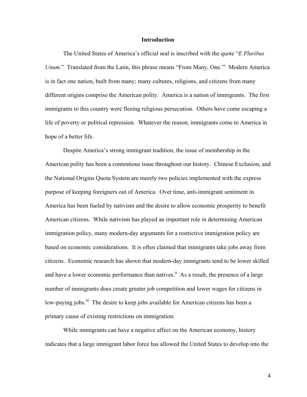#### **Introduction**

The United States of America's official seal is inscribed with the quote "*E Pluribus*  Unum." Translated from the Latin, this phrase means "From Many, One."<sup>i</sup> Modern America is in fact one nation, built from many; many cultures, religions, and citizens from many different origins comprise the American polity. America is a nation of immigrants. The first immigrants to this country were fleeing religious persecution. Others have come escaping a life of poverty or political repression. Whatever the reason, immigrants come to America in hope of a better life.

Despite America's strong immigrant tradition, the issue of membership in the American polity has been a contentious issue throughout our history. Chinese Exclusion, and the National Origins Quota System are merely two policies implemented with the express purpose of keeping foreigners out of America. Over time, anti-immigrant sentiment in America has been fueled by nativism and the desire to allow economic prosperity to benefit American citizens. While nativism has played an important role in determining American immigration policy, many modern-day arguments for a restrictive immigration policy are based on economic considerations. It is often claimed that immigrants take jobs away from citizens. Economic research has shown that modern-day immigrants tend to be lower skilled and have a lower economic performance than natives.<sup>ii</sup> As a result, the presence of a large number of immigrants does create greater job competition and lower wages for citizens in low-paying jobs.<sup>iii</sup> The desire to keep jobs available for American citizens has been a primary cause of existing restrictions on immigration.

While immigrants can have a negative affect on the American economy, history indicates that a large immigrant labor force has allowed the United States to develop into the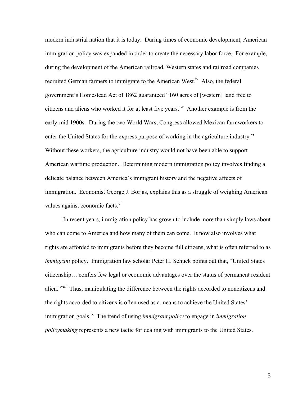modern industrial nation that it is today. During times of economic development, American immigration policy was expanded in order to create the necessary labor force. For example, during the development of the American railroad, Western states and railroad companies recruited German farmers to immigrate to the American West.<sup>iv</sup> Also, the federal government's Homestead Act of 1862 guaranteed "160 acres of [western] land free to citizens and aliens who worked it for at least five years."v Another example is from the early-mid 1900s. During the two World Wars, Congress allowed Mexican farmworkers to enter the United States for the express purpose of working in the agriculture industry.**vi** Without these workers, the agriculture industry would not have been able to support American wartime production. Determining modern immigration policy involves finding a delicate balance between America's immigrant history and the negative affects of immigration. Economist George J. Borjas, explains this as a struggle of weighing American values against economic facts.<sup>vii</sup>

In recent years, immigration policy has grown to include more than simply laws about who can come to America and how many of them can come. It now also involves what rights are afforded to immigrants before they become full citizens, what is often referred to as *immigrant* policy. Immigration law scholar Peter H. Schuck points out that, "United States citizenship… confers few legal or economic advantages over the status of permanent resident alien."<sup>viii</sup> Thus, manipulating the difference between the rights accorded to noncitizens and the rights accorded to citizens is often used as a means to achieve the United States' immigration goals.<sup>ix</sup> The trend of using *immigrant policy* to engage in *immigration policymaking* represents a new tactic for dealing with immigrants to the United States.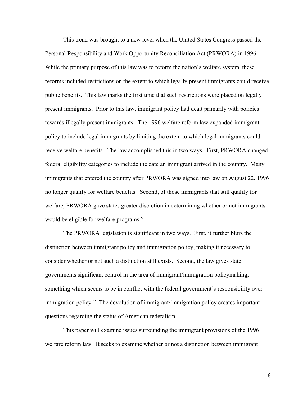This trend was brought to a new level when the United States Congress passed the Personal Responsibility and Work Opportunity Reconciliation Act (PRWORA) in 1996. While the primary purpose of this law was to reform the nation's welfare system, these reforms included restrictions on the extent to which legally present immigrants could receive public benefits. This law marks the first time that such restrictions were placed on legally present immigrants. Prior to this law, immigrant policy had dealt primarily with policies towards illegally present immigrants. The 1996 welfare reform law expanded immigrant policy to include legal immigrants by limiting the extent to which legal immigrants could receive welfare benefits. The law accomplished this in two ways. First, PRWORA changed federal eligibility categories to include the date an immigrant arrived in the country. Many immigrants that entered the country after PRWORA was signed into law on August 22, 1996 no longer qualify for welfare benefits. Second, of those immigrants that still qualify for welfare, PRWORA gave states greater discretion in determining whether or not immigrants would be eligible for welfare programs. $^x$ 

The PRWORA legislation is significant in two ways. First, it further blurs the distinction between immigrant policy and immigration policy, making it necessary to consider whether or not such a distinction still exists. Second, the law gives state governments significant control in the area of immigrant/immigration policymaking, something which seems to be in conflict with the federal government's responsibility over immigration policy. $x_i$ <sup>xi</sup> The devolution of immigrant/immigration policy creates important questions regarding the status of American federalism.

This paper will examine issues surrounding the immigrant provisions of the 1996 welfare reform law. It seeks to examine whether or not a distinction between immigrant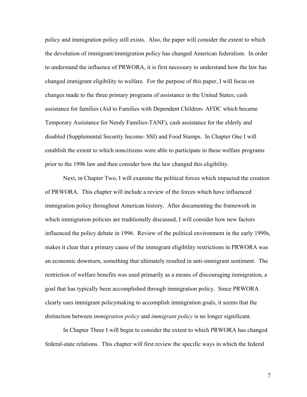policy and immigration policy still exists. Also, the paper will consider the extent to which the devolution of immigrant/immigration policy has changed American federalism. In order to understand the influence of PRWORA, it is first necessary to understand how the law has changed immigrant eligibility to welfare. For the purpose of this paper, I will focus on changes made to the three primary programs of assistance in the United States; cash assistance for families (Aid to Families with Dependent Children- AFDC which became Temporary Assistance for Needy Families-TANF), cash assistance for the elderly and disabled (Supplemental Security Income- SSI) and Food Stamps. In Chapter One I will establish the extent to which noncitizens were able to participate in these welfare programs prior to the 1996 law and then consider how the law changed this eligibility.

Next, in Chapter Two, I will examine the political forces which impacted the creation of PRWORA. This chapter will include a review of the forces which have influenced immigration policy throughout American history. After documenting the framework in which immigration policies are traditionally discussed, I will consider how new factors influenced the policy debate in 1996. Review of the political environment in the early 1990s, makes it clear that a primary cause of the immigrant eligibility restrictions in PRWORA was an economic downturn, something that ultimately resulted in anti-immigrant sentiment. The restriction of welfare benefits was used primarily as a means of discouraging immigration, a goal that has typically been accomplished through immigration policy. Since PRWORA clearly uses immigrant policymaking to accomplish immigration goals, it seems that the distinction between *immigration policy* and *immigrant policy* is no longer significant.

In Chapter Three I will begin to consider the extent to which PRWORA has changed federal-state relations. This chapter will first review the specific ways in which the federal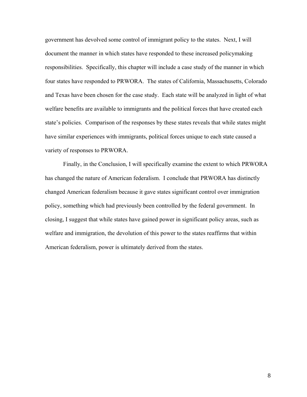government has devolved some control of immigrant policy to the states. Next, I will document the manner in which states have responded to these increased policymaking responsibilities. Specifically, this chapter will include a case study of the manner in which four states have responded to PRWORA. The states of California, Massachusetts, Colorado and Texas have been chosen for the case study. Each state will be analyzed in light of what welfare benefits are available to immigrants and the political forces that have created each state's policies. Comparison of the responses by these states reveals that while states might have similar experiences with immigrants, political forces unique to each state caused a variety of responses to PRWORA.

Finally, in the Conclusion, I will specifically examine the extent to which PRWORA has changed the nature of American federalism. I conclude that PRWORA has distinctly changed American federalism because it gave states significant control over immigration policy, something which had previously been controlled by the federal government. In closing, I suggest that while states have gained power in significant policy areas, such as welfare and immigration, the devolution of this power to the states reaffirms that within American federalism, power is ultimately derived from the states.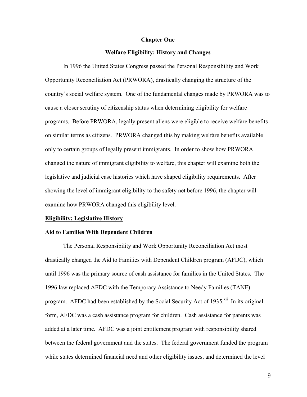#### **Chapter One**

#### **Welfare Eligibility: History and Changes**

 In 1996 the United States Congress passed the Personal Responsibility and Work Opportunity Reconciliation Act (PRWORA), drastically changing the structure of the country's social welfare system. One of the fundamental changes made by PRWORA was to cause a closer scrutiny of citizenship status when determining eligibility for welfare programs. Before PRWORA, legally present aliens were eligible to receive welfare benefits on similar terms as citizens. PRWORA changed this by making welfare benefits available only to certain groups of legally present immigrants. In order to show how PRWORA changed the nature of immigrant eligibility to welfare, this chapter will examine both the legislative and judicial case histories which have shaped eligibility requirements. After showing the level of immigrant eligibility to the safety net before 1996, the chapter will examine how PRWORA changed this eligibility level.

#### **Eligibility: Legislative History**

### **Aid to Families With Dependent Children**

The Personal Responsibility and Work Opportunity Reconciliation Act most drastically changed the Aid to Families with Dependent Children program (AFDC), which until 1996 was the primary source of cash assistance for families in the United States. The 1996 law replaced AFDC with the Temporary Assistance to Needy Families (TANF) program. AFDC had been established by the Social Security Act of 1935.<sup>xii</sup> In its original form, AFDC was a cash assistance program for children. Cash assistance for parents was added at a later time. AFDC was a joint entitlement program with responsibility shared between the federal government and the states. The federal government funded the program while states determined financial need and other eligibility issues, and determined the level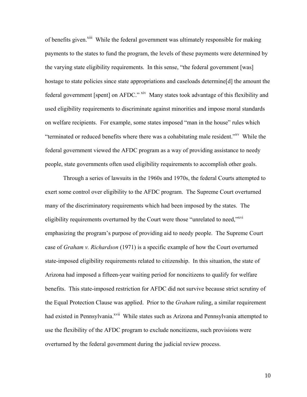of benefits given.<sup>xiii</sup> While the federal government was ultimately responsible for making payments to the states to fund the program, the levels of these payments were determined by the varying state eligibility requirements. In this sense, "the federal government [was] hostage to state policies since state appropriations and caseloads determine [d] the amount the federal government [spent] on AFDC." <sup>xiv</sup> Many states took advantage of this flexibility and used eligibility requirements to discriminate against minorities and impose moral standards on welfare recipients. For example, some states imposed "man in the house" rules which "terminated or reduced benefits where there was a cohabitating male resident."xv While the federal government viewed the AFDC program as a way of providing assistance to needy people, state governments often used eligibility requirements to accomplish other goals.

Through a series of lawsuits in the 1960s and 1970s, the federal Courts attempted to exert some control over eligibility to the AFDC program. The Supreme Court overturned many of the discriminatory requirements which had been imposed by the states. The eligibility requirements overturned by the Court were those "unrelated to need,"xvi emphasizing the program's purpose of providing aid to needy people. The Supreme Court case of *Graham v. Richardson* (1971) is a specific example of how the Court overturned state-imposed eligibility requirements related to citizenship. In this situation, the state of Arizona had imposed a fifteen-year waiting period for noncitizens to qualify for welfare benefits. This state-imposed restriction for AFDC did not survive because strict scrutiny of the Equal Protection Clause was applied. Prior to the *Graham* ruling, a similar requirement had existed in Pennsylvania.<sup>xvii</sup> While states such as Arizona and Pennsylvania attempted to use the flexibility of the AFDC program to exclude noncitizens, such provisions were overturned by the federal government during the judicial review process.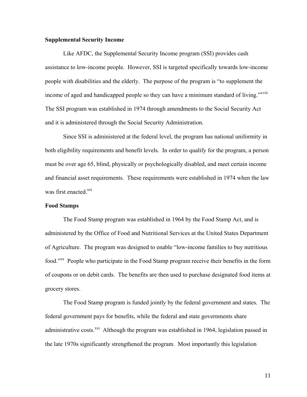#### **Supplemental Security Income**

Like AFDC, the Supplemental Security Income program (SSI) provides cash assistance to low-income people. However, SSI is targeted specifically towards low-income people with disabilities and the elderly. The purpose of the program is "to supplement the income of aged and handicapped people so they can have a minimum standard of living."<sup>xviii</sup> The SSI program was established in 1974 through amendments to the Social Security Act and it is administered through the Social Security Administration.

Since SSI is administered at the federal level, the program has national uniformity in both eligibility requirements and benefit levels. In order to qualify for the program, a person must be over age 65, blind, physically or psychologically disabled, and meet certain income and financial asset requirements. These requirements were established in 1974 when the law was first enacted.<sup>xix</sup>

#### **Food Stamps**

The Food Stamp program was established in 1964 by the Food Stamp Act, and is administered by the Office of Food and Nutritional Services at the United States Department of Agriculture. The program was designed to enable "low-income families to buy nutritious food."<sup>xx</sup> People who participate in the Food Stamp program receive their benefits in the form of coupons or on debit cards. The benefits are then used to purchase designated food items at grocery stores.

The Food Stamp program is funded jointly by the federal government and states. The federal government pays for benefits, while the federal and state governments share administrative costs.<sup>xxi</sup> Although the program was established in 1964, legislation passed in the late 1970s significantly strengthened the program. Most importantly this legislation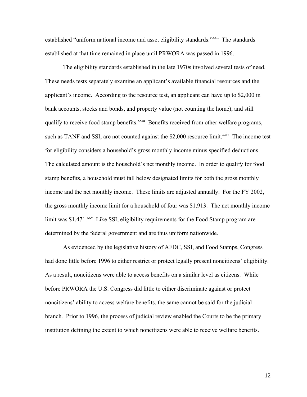established "uniform national income and asset eligibility standards."<sup>xxii</sup> The standards established at that time remained in place until PRWORA was passed in 1996.

The eligibility standards established in the late 1970s involved several tests of need. These needs tests separately examine an applicant's available financial resources and the applicant's income. According to the resource test, an applicant can have up to \$2,000 in bank accounts, stocks and bonds, and property value (not counting the home), and still qualify to receive food stamp benefits.<sup>xxiii</sup> Benefits received from other welfare programs, such as TANF and SSI, are not counted against the  $$2,000$  resource limit.<sup>xxiv</sup> The income test for eligibility considers a household's gross monthly income minus specified deductions. The calculated amount is the household's net monthly income. In order to qualify for food stamp benefits, a household must fall below designated limits for both the gross monthly income and the net monthly income. These limits are adjusted annually. For the FY 2002, the gross monthly income limit for a household of four was \$1,913. The net monthly income limit was  $$1,471$ .<sup>xxv</sup> Like SSI, eligibility requirements for the Food Stamp program are determined by the federal government and are thus uniform nationwide.

As evidenced by the legislative history of AFDC, SSI, and Food Stamps, Congress had done little before 1996 to either restrict or protect legally present noncitizens' eligibility. As a result, noncitizens were able to access benefits on a similar level as citizens. While before PRWORA the U.S. Congress did little to either discriminate against or protect noncitizens' ability to access welfare benefits, the same cannot be said for the judicial branch. Prior to 1996, the process of judicial review enabled the Courts to be the primary institution defining the extent to which noncitizens were able to receive welfare benefits.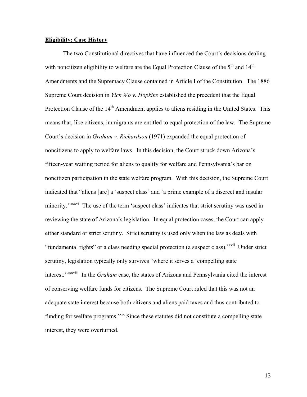#### **Eligibility: Case History**

 The two Constitutional directives that have influenced the Court's decisions dealing with noncitizen eligibility to welfare are the Equal Protection Clause of the  $5<sup>th</sup>$  and  $14<sup>th</sup>$ Amendments and the Supremacy Clause contained in Article I of the Constitution. The 1886 Supreme Court decision in *Yick Wo v. Hopkins* established the precedent that the Equal Protection Clause of the 14<sup>th</sup> Amendment applies to aliens residing in the United States. This means that, like citizens, immigrants are entitled to equal protection of the law. The Supreme Court's decision in *Graham v. Richardson* (1971) expanded the equal protection of noncitizens to apply to welfare laws. In this decision, the Court struck down Arizona's fifteen-year waiting period for aliens to qualify for welfare and Pennsylvania's bar on noncitizen participation in the state welfare program. With this decision, the Supreme Court indicated that "aliens [are] a 'suspect class' and 'a prime example of a discreet and insular minority."<sup>xxvi</sup> The use of the term 'suspect class' indicates that strict scrutiny was used in reviewing the state of Arizona's legislation. In equal protection cases, the Court can apply either standard or strict scrutiny. Strict scrutiny is used only when the law as deals with "fundamental rights" or a class needing special protection (a suspect class).<sup>xxvii</sup> Under strict scrutiny, legislation typically only survives "where it serves a 'compelling state interest.<sup>""xxviii</sup> In the *Graham* case, the states of Arizona and Pennsylvania cited the interest of conserving welfare funds for citizens. The Supreme Court ruled that this was not an adequate state interest because both citizens and aliens paid taxes and thus contributed to funding for welfare programs.<sup>xxix</sup> Since these statutes did not constitute a compelling state interest, they were overturned.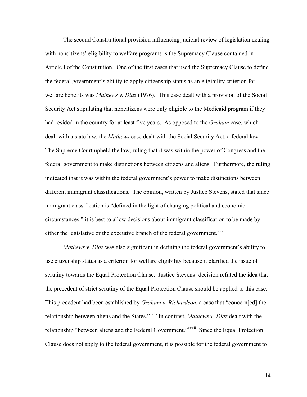The second Constitutional provision influencing judicial review of legislation dealing with noncitizens' eligibility to welfare programs is the Supremacy Clause contained in Article I of the Constitution. One of the first cases that used the Supremacy Clause to define the federal government's ability to apply citizenship status as an eligibility criterion for welfare benefits was *Mathews v. Diaz* (1976). This case dealt with a provision of the Social Security Act stipulating that noncitizens were only eligible to the Medicaid program if they had resided in the country for at least five years. As opposed to the *Graham* case, which dealt with a state law, the *Mathews* case dealt with the Social Security Act, a federal law. The Supreme Court upheld the law, ruling that it was within the power of Congress and the federal government to make distinctions between citizens and aliens. Furthermore, the ruling indicated that it was within the federal government's power to make distinctions between different immigrant classifications. The opinion, written by Justice Stevens, stated that since immigrant classification is "defined in the light of changing political and economic circumstances," it is best to allow decisions about immigrant classification to be made by either the legislative or the executive branch of the federal government.<sup>xxx</sup>

*Mathews v. Diaz* was also significant in defining the federal government's ability to use citizenship status as a criterion for welfare eligibility because it clarified the issue of scrutiny towards the Equal Protection Clause. Justice Stevens' decision refuted the idea that the precedent of strict scrutiny of the Equal Protection Clause should be applied to this case. This precedent had been established by *Graham v. Richardson*, a case that "concern[ed] the relationship between aliens and the States."xxxi In contrast, *Mathews v. Diaz* dealt with the relationship "between aliens and the Federal Government."<sup>xxxxii</sup> Since the Equal Protection Clause does not apply to the federal government, it is possible for the federal government to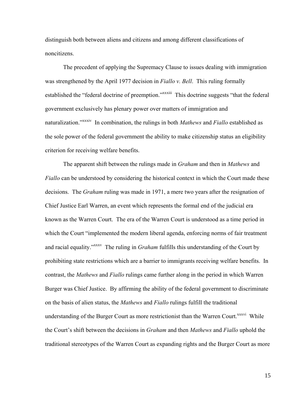distinguish both between aliens and citizens and among different classifications of noncitizens.

The precedent of applying the Supremacy Clause to issues dealing with immigration was strengthened by the April 1977 decision in *Fiallo v. Bell*. This ruling formally established the "federal doctrine of preemption."<sup>xxxiii</sup> This doctrine suggests "that the federal government exclusively has plenary power over matters of immigration and naturalization."xxxiv In combination, the rulings in both *Mathews* and *Fiallo* established as the sole power of the federal government the ability to make citizenship status an eligibility criterion for receiving welfare benefits.

The apparent shift between the rulings made in *Graham* and then in *Mathews* and *Fiallo* can be understood by considering the historical context in which the Court made these decisions. The *Graham* ruling was made in 1971, a mere two years after the resignation of Chief Justice Earl Warren, an event which represents the formal end of the judicial era known as the Warren Court. The era of the Warren Court is understood as a time period in which the Court "implemented the modern liberal agenda, enforcing norms of fair treatment and racial equality."xxxv The ruling in *Graham* fulfills this understanding of the Court by prohibiting state restrictions which are a barrier to immigrants receiving welfare benefits. In contrast, the *Mathews* and *Fiallo* rulings came further along in the period in which Warren Burger was Chief Justice. By affirming the ability of the federal government to discriminate on the basis of alien status, the *Mathews* and *Fiallo* rulings fulfill the traditional understanding of the Burger Court as more restrictionist than the Warren Court.<sup>xxxvi</sup> While the Court's shift between the decisions in *Graham* and then *Mathews* and *Fiallo* uphold the traditional stereotypes of the Warren Court as expanding rights and the Burger Court as more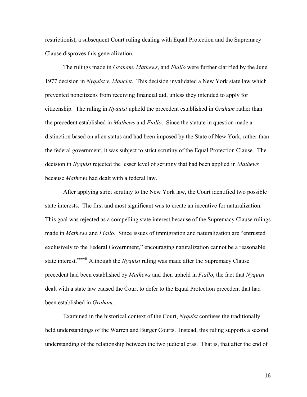restrictionist, a subsequent Court ruling dealing with Equal Protection and the Supremacy Clause disproves this generalization.

The rulings made in *Graham*, *Mathews*, and *Fiallo* were further clarified by the June 1977 decision in *Nyquist v. Mauclet*. This decision invalidated a New York state law which prevented noncitizens from receiving financial aid, unless they intended to apply for citizenship. The ruling in *Nyquist* upheld the precedent established in *Graham* rather than the precedent established in *Mathews* and *Fiallo*. Since the statute in question made a distinction based on alien status and had been imposed by the State of New York, rather than the federal government, it was subject to strict scrutiny of the Equal Protection Clause. The decision in *Nyquist* rejected the lesser level of scrutiny that had been applied in *Mathews* because *Mathews* had dealt with a federal law.

After applying strict scrutiny to the New York law, the Court identified two possible state interests. The first and most significant was to create an incentive for naturalization. This goal was rejected as a compelling state interest because of the Supremacy Clause rulings made in *Mathews* and *Fiallo*. Since issues of immigration and naturalization are "entrusted exclusively to the Federal Government," encouraging naturalization cannot be a reasonable state interest.<sup>xxxvii</sup> Although the *Nyquist* ruling was made after the Supremacy Clause precedent had been established by *Mathews* and then upheld in *Fiallo*, the fact that *Nyquist*  dealt with a state law caused the Court to defer to the Equal Protection precedent that had been established in *Graham*.

Examined in the historical context of the Court, *Nyquist* confuses the traditionally held understandings of the Warren and Burger Courts. Instead, this ruling supports a second understanding of the relationship between the two judicial eras. That is, that after the end of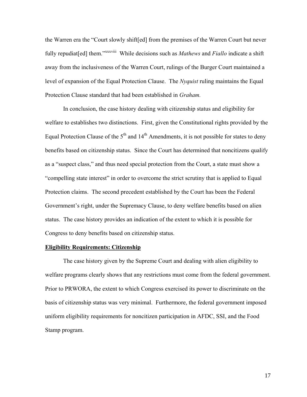the Warren era the "Court slowly shift[ed] from the premises of the Warren Court but never fully repudiat[ed] them."xxxviii While decisions such as *Mathews* and *Fiallo* indicate a shift away from the inclusiveness of the Warren Court, rulings of the Burger Court maintained a level of expansion of the Equal Protection Clause. The *Nyquist* ruling maintains the Equal Protection Clause standard that had been established in *Graham.* 

In conclusion, the case history dealing with citizenship status and eligibility for welfare to establishes two distinctions. First, given the Constitutional rights provided by the Equal Protection Clause of the  $5<sup>th</sup>$  and  $14<sup>th</sup>$  Amendments, it is not possible for states to deny benefits based on citizenship status. Since the Court has determined that noncitizens qualify as a "suspect class," and thus need special protection from the Court, a state must show a "compelling state interest" in order to overcome the strict scrutiny that is applied to Equal Protection claims. The second precedent established by the Court has been the Federal Government's right, under the Supremacy Clause, to deny welfare benefits based on alien status. The case history provides an indication of the extent to which it is possible for Congress to deny benefits based on citizenship status.

#### **Eligibility Requirements: Citizenship**

The case history given by the Supreme Court and dealing with alien eligibility to welfare programs clearly shows that any restrictions must come from the federal government. Prior to PRWORA, the extent to which Congress exercised its power to discriminate on the basis of citizenship status was very minimal. Furthermore, the federal government imposed uniform eligibility requirements for noncitizen participation in AFDC, SSI, and the Food Stamp program.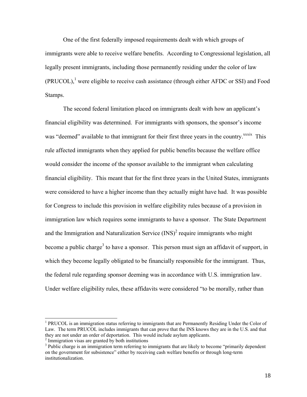One of the first federally imposed requirements dealt with which groups of immigrants were able to receive welfare benefits. According to Congressional legislation, all legally present immigrants, including those permanently residing under the color of law  $(PRUCOL)$ ,<sup>1</sup> were eligible to receive cash assistance (through either AFDC or SSI) and Food Stamps.

The second federal limitation placed on immigrants dealt with how an applicant's financial eligibility was determined. For immigrants with sponsors, the sponsor's income was "deemed" available to that immigrant for their first three years in the country.<sup>xxxix</sup> This rule affected immigrants when they applied for public benefits because the welfare office would consider the income of the sponsor available to the immigrant when calculating financial eligibility. This meant that for the first three years in the United States, immigrants were considered to have a higher income than they actually might have had. It was possible for Congress to include this provision in welfare eligibility rules because of a provision in immigration law which requires some immigrants to have a sponsor. The State Department and the Immigration and Naturalization Service  $(INS)^2$  require immigrants who might become a public charge<sup>3</sup> to have a sponsor. This person must sign an affidavit of support, in which they become legally obligated to be financially responsible for the immigrant. Thus, the federal rule regarding sponsor deeming was in accordance with U.S. immigration law. Under welfare eligibility rules, these affidavits were considered "to be morally, rather than

 $\overline{a}$ 

<sup>&</sup>lt;sup>1</sup> PRUCOL is an immigration status referring to immigrants that are Permanently Residing Under the Color of Law. The term PRUCOL includes immigrants that can prove that the INS knows they are in the U.S. and that they are not under an order of deportation. This would include asylum applicants.

<sup>&</sup>lt;sup>2</sup> Immigration visas are granted by both institutions

<sup>&</sup>lt;sup>3</sup> Public charge is an immigration term referring to immigrants that are likely to become "primarily dependent" on the government for subsistence" either by receiving cash welfare benefits or through long-term institutionalization.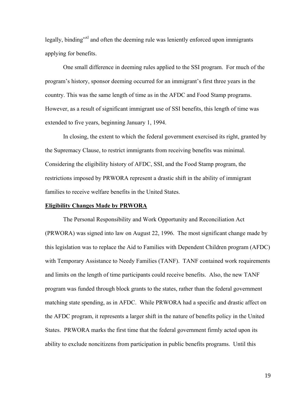legally, binding"<sup>xl</sup> and often the deeming rule was leniently enforced upon immigrants applying for benefits.

One small difference in deeming rules applied to the SSI program. For much of the program's history, sponsor deeming occurred for an immigrant's first three years in the country. This was the same length of time as in the AFDC and Food Stamp programs. However, as a result of significant immigrant use of SSI benefits, this length of time was extended to five years, beginning January 1, 1994.

In closing, the extent to which the federal government exercised its right, granted by the Supremacy Clause, to restrict immigrants from receiving benefits was minimal. Considering the eligibility history of AFDC, SSI, and the Food Stamp program, the restrictions imposed by PRWORA represent a drastic shift in the ability of immigrant families to receive welfare benefits in the United States.

#### **Eligibility Changes Made by PRWORA**

 The Personal Responsibility and Work Opportunity and Reconciliation Act (PRWORA) was signed into law on August 22, 1996. The most significant change made by this legislation was to replace the Aid to Families with Dependent Children program (AFDC) with Temporary Assistance to Needy Families (TANF). TANF contained work requirements and limits on the length of time participants could receive benefits. Also, the new TANF program was funded through block grants to the states, rather than the federal government matching state spending, as in AFDC. While PRWORA had a specific and drastic affect on the AFDC program, it represents a larger shift in the nature of benefits policy in the United States. PRWORA marks the first time that the federal government firmly acted upon its ability to exclude noncitizens from participation in public benefits programs. Until this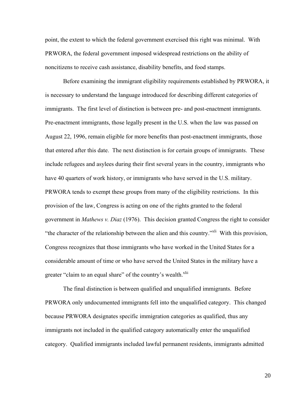point, the extent to which the federal government exercised this right was minimal. With PRWORA, the federal government imposed widespread restrictions on the ability of noncitizens to receive cash assistance, disability benefits, and food stamps.

 Before examining the immigrant eligibility requirements established by PRWORA, it is necessary to understand the language introduced for describing different categories of immigrants. The first level of distinction is between pre- and post-enactment immigrants. Pre-enactment immigrants, those legally present in the U.S. when the law was passed on August 22, 1996, remain eligible for more benefits than post-enactment immigrants, those that entered after this date. The next distinction is for certain groups of immigrants. These include refugees and asylees during their first several years in the country, immigrants who have 40 quarters of work history, or immigrants who have served in the U.S. military. PRWORA tends to exempt these groups from many of the eligibility restrictions. In this provision of the law, Congress is acting on one of the rights granted to the federal government in *Mathews v. Diaz* (1976). This decision granted Congress the right to consider "the character of the relationship between the alien and this country."xli With this provision, Congress recognizes that those immigrants who have worked in the United States for a considerable amount of time or who have served the United States in the military have a greater "claim to an equal share" of the country's wealth.<sup>xlii</sup>

The final distinction is between qualified and unqualified immigrants. Before PRWORA only undocumented immigrants fell into the unqualified category. This changed because PRWORA designates specific immigration categories as qualified, thus any immigrants not included in the qualified category automatically enter the unqualified category. Qualified immigrants included lawful permanent residents, immigrants admitted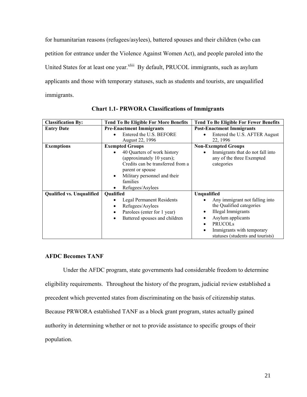for humanitarian reasons (refugees/asylees), battered spouses and their children (who can petition for entrance under the Violence Against Women Act), and people paroled into the United States for at least one year.<sup>xliii</sup> By default, PRUCOL immigrants, such as asylum applicants and those with temporary statuses, such as students and tourists, are unqualified immigrants.

| <b>Classification By:</b>        | <b>Tend To Be Eligible For More Benefits</b>                                                                                                                                                                | <b>Tend To Be Eligible For Fewer Benefits</b>                                                                                                                                                                             |  |
|----------------------------------|-------------------------------------------------------------------------------------------------------------------------------------------------------------------------------------------------------------|---------------------------------------------------------------------------------------------------------------------------------------------------------------------------------------------------------------------------|--|
| <b>Entry Date</b>                | <b>Pre-Enactment Immigrants</b>                                                                                                                                                                             | <b>Post-Enactment Immigrants</b>                                                                                                                                                                                          |  |
|                                  | Entered the U.S. BEFORE                                                                                                                                                                                     | Entered the U.S. AFTER August                                                                                                                                                                                             |  |
|                                  | August 22, 1996                                                                                                                                                                                             | 22, 1996                                                                                                                                                                                                                  |  |
| <b>Exemptions</b>                | <b>Exempted Groups</b>                                                                                                                                                                                      | <b>Non-Exempted Groups</b>                                                                                                                                                                                                |  |
|                                  | 40 Quarters of work history<br>(approximately 10 years);<br>Credits can be transferred from a<br>parent or spouse<br>Military personnel and their<br>$\bullet$<br>families<br>Refugees/Asylees<br>$\bullet$ | Immigrants that do not fall into<br>any of the three Exempted<br>categories                                                                                                                                               |  |
| <b>Qualified vs. Unqualified</b> | <b>Qualified</b>                                                                                                                                                                                            | Unqualified                                                                                                                                                                                                               |  |
|                                  | Legal Permanent Residents<br>Refugees/Asylees<br>$\bullet$<br>Parolees (enter for 1 year)<br>$\bullet$<br>Battered spouses and children<br>$\bullet$                                                        | Any immigrant not falling into<br>the Qualified categories<br><b>Illegal Immigrants</b><br>Asylum applicants<br><b>PRUCOLS</b><br>$\bullet$<br>Immigrants with temporary<br>$\bullet$<br>statuses (students and tourists) |  |

**Chart 1.1- PRWORA Classifications of Immigrants** 

## **AFDC Becomes TANF**

 Under the AFDC program, state governments had considerable freedom to determine eligibility requirements. Throughout the history of the program, judicial review established a precedent which prevented states from discriminating on the basis of citizenship status. Because PRWORA established TANF as a block grant program, states actually gained authority in determining whether or not to provide assistance to specific groups of their population.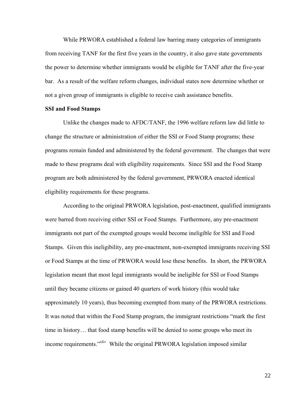While PRWORA established a federal law barring many categories of immigrants from receiving TANF for the first five years in the country, it also gave state governments the power to determine whether immigrants would be eligible for TANF after the five-year bar. As a result of the welfare reform changes, individual states now determine whether or not a given group of immigrants is eligible to receive cash assistance benefits.

#### **SSI and Food Stamps**

 Unlike the changes made to AFDC/TANF, the 1996 welfare reform law did little to change the structure or administration of either the SSI or Food Stamp programs; these programs remain funded and administered by the federal government. The changes that were made to these programs deal with eligibility requirements. Since SSI and the Food Stamp program are both administered by the federal government, PRWORA enacted identical eligibility requirements for these programs.

 According to the original PRWORA legislation, post-enactment, qualified immigrants were barred from receiving either SSI or Food Stamps. Furthermore, any pre-enactment immigrants not part of the exempted groups would become ineligible for SSI and Food Stamps. Given this ineligibility, any pre-enactment, non-exempted immigrants receiving SSI or Food Stamps at the time of PRWORA would lose these benefits. In short, the PRWORA legislation meant that most legal immigrants would be ineligible for SSI or Food Stamps until they became citizens or gained 40 quarters of work history (this would take approximately 10 years), thus becoming exempted from many of the PRWORA restrictions. It was noted that within the Food Stamp program, the immigrant restrictions "mark the first time in history… that food stamp benefits will be denied to some groups who meet its income requirements."<sup>xliv</sup> While the original PRWORA legislation imposed similar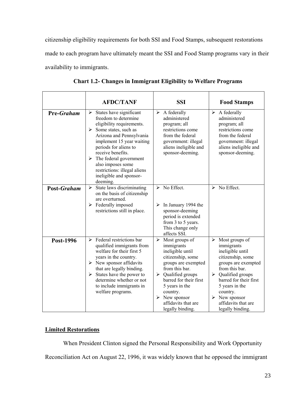citizenship eligibility requirements for both SSI and Food Stamps, subsequent restorations made to each program have ultimately meant the SSI and Food Stamp programs vary in their availability to immigrants.

|                    | <b>AFDC/TANF</b>                                                                                                                                                                                                                                                                                                                                                         | <b>SSI</b>                                                                                                                                                                                                                                                                                  | <b>Food Stamps</b>                                                                                                                                                                                                                                                                                      |
|--------------------|--------------------------------------------------------------------------------------------------------------------------------------------------------------------------------------------------------------------------------------------------------------------------------------------------------------------------------------------------------------------------|---------------------------------------------------------------------------------------------------------------------------------------------------------------------------------------------------------------------------------------------------------------------------------------------|---------------------------------------------------------------------------------------------------------------------------------------------------------------------------------------------------------------------------------------------------------------------------------------------------------|
| <b>Pre-Graham</b>  | States have significant<br>➤<br>freedom to determine<br>eligibility requirements.<br>$\triangleright$ Some states, such as<br>Arizona and Pennsylvania<br>implement 15 year waiting<br>periods for aliens to<br>receive benefits.<br>$\triangleright$ The federal government<br>also imposes some<br>restrictions: illegal aliens<br>ineligible and sponsor-<br>deeming. | A federally<br>➤<br>administered<br>program; all<br>restrictions come<br>from the federal<br>government: illegal<br>aliens ineligible and<br>sponsor-deeming.                                                                                                                               | $\triangleright$ A federally<br>administered<br>program; all<br>restrictions come<br>from the federal<br>government: illegal<br>aliens ineligible and<br>sponsor-deeming.                                                                                                                               |
| <b>Post-Graham</b> | State laws discriminating<br>➤<br>on the basis of citizenship<br>are overturned.<br>$\triangleright$ Federally imposed<br>restrictions still in place.                                                                                                                                                                                                                   | No Effect.<br>➤<br>In January 1994 the<br>➤<br>sponsor-deeming<br>period is extended<br>from 3 to 5 years.<br>This change only<br>affects SSI.                                                                                                                                              | No Effect.<br>⋗                                                                                                                                                                                                                                                                                         |
| Post-1996          | Federal restrictions bar<br>↘<br>qualified immigrants from<br>welfare for their first 5<br>years in the country.<br>$\triangleright$ New sponsor affidavits<br>that are legally binding.<br>$\triangleright$ States have the power to<br>determine whether or not<br>to include immigrants in<br>welfare programs.                                                       | Most groups of<br>≻<br>immigrants<br>ineligible until<br>citizenship, some<br>groups are exempted<br>from this bar.<br>$\triangleright$ Qualified groups<br>barred for their first<br>5 years in the<br>country.<br>$\triangleright$ New sponsor<br>affidavits that are<br>legally binding. | $\triangleright$ Most groups of<br>immigrants<br>ineligible until<br>citizenship, some<br>groups are exempted<br>from this bar.<br>$\triangleright$ Qualified groups<br>barred for their first<br>5 years in the<br>country.<br>$\triangleright$ New sponsor<br>affidavits that are<br>legally binding. |

**Chart 1.2- Changes in Immigrant Eligibility to Welfare Programs** 

## **Limited Restorations**

 When President Clinton signed the Personal Responsibility and Work Opportunity Reconciliation Act on August 22, 1996, it was widely known that he opposed the immigrant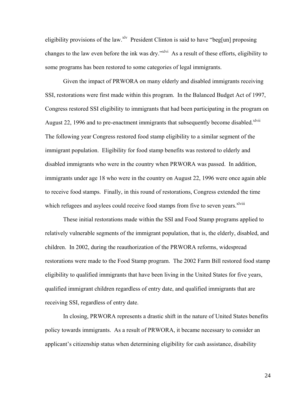eligibility provisions of the law.<sup>xlv</sup> President Clinton is said to have "beg[un] proposing changes to the law even before the ink was dry."<sup>xlvi</sup> As a result of these efforts, eligibility to some programs has been restored to some categories of legal immigrants.

Given the impact of PRWORA on many elderly and disabled immigrants receiving SSI, restorations were first made within this program. In the Balanced Budget Act of 1997, Congress restored SSI eligibility to immigrants that had been participating in the program on August 22, 1996 and to pre-enactment immigrants that subsequently become disabled.<sup>xlvii</sup> The following year Congress restored food stamp eligibility to a similar segment of the immigrant population. Eligibility for food stamp benefits was restored to elderly and disabled immigrants who were in the country when PRWORA was passed. In addition, immigrants under age 18 who were in the country on August 22, 1996 were once again able to receive food stamps. Finally, in this round of restorations, Congress extended the time which refugees and asylees could receive food stamps from five to seven years.<sup>xlviii</sup>

These initial restorations made within the SSI and Food Stamp programs applied to relatively vulnerable segments of the immigrant population, that is, the elderly, disabled, and children. In 2002, during the reauthorization of the PRWORA reforms, widespread restorations were made to the Food Stamp program. The 2002 Farm Bill restored food stamp eligibility to qualified immigrants that have been living in the United States for five years, qualified immigrant children regardless of entry date, and qualified immigrants that are receiving SSI, regardless of entry date.

In closing, PRWORA represents a drastic shift in the nature of United States benefits policy towards immigrants. As a result of PRWORA, it became necessary to consider an applicant's citizenship status when determining eligibility for cash assistance, disability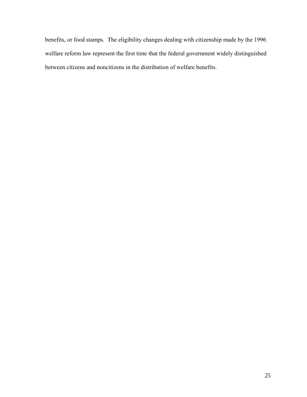benefits, or food stamps. The eligibility changes dealing with citizenship made by the 1996 welfare reform law represent the first time that the federal government widely distinguished between citizens and noncitizens in the distribution of welfare benefits.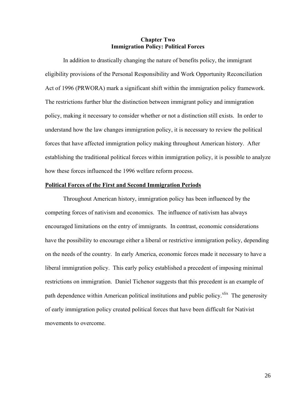## **Chapter Two Immigration Policy: Political Forces**

In addition to drastically changing the nature of benefits policy, the immigrant eligibility provisions of the Personal Responsibility and Work Opportunity Reconciliation Act of 1996 (PRWORA) mark a significant shift within the immigration policy framework. The restrictions further blur the distinction between immigrant policy and immigration policy, making it necessary to consider whether or not a distinction still exists. In order to understand how the law changes immigration policy, it is necessary to review the political forces that have affected immigration policy making throughout American history. After establishing the traditional political forces within immigration policy, it is possible to analyze how these forces influenced the 1996 welfare reform process.

#### **Political Forces of the First and Second Immigration Periods**

Throughout American history, immigration policy has been influenced by the competing forces of nativism and economics. The influence of nativism has always encouraged limitations on the entry of immigrants. In contrast, economic considerations have the possibility to encourage either a liberal or restrictive immigration policy, depending on the needs of the country. In early America, economic forces made it necessary to have a liberal immigration policy. This early policy established a precedent of imposing minimal restrictions on immigration. Daniel Tichenor suggests that this precedent is an example of path dependence within American political institutions and public policy.<sup>xlix</sup> The generosity of early immigration policy created political forces that have been difficult for Nativist movements to overcome.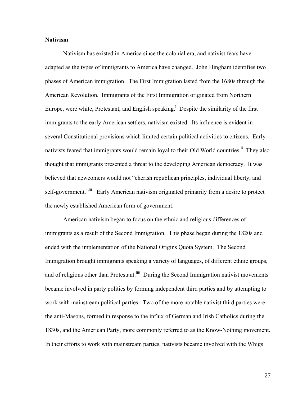#### **Nativism**

Nativism has existed in America since the colonial era, and nativist fears have adapted as the types of immigrants to America have changed. John Hingham identifies two phases of American immigration. The First Immigration lasted from the 1680s through the American Revolution. Immigrants of the First Immigration originated from Northern Europe, were white, Protestant, and English speaking.<sup>1</sup> Despite the similarity of the first immigrants to the early American settlers, nativism existed. Its influence is evident in several Constitutional provisions which limited certain political activities to citizens. Early nativists feared that immigrants would remain loyal to their Old World countries.<sup>11</sup> They also thought that immigrants presented a threat to the developing American democracy. It was believed that newcomers would not "cherish republican principles, individual liberty, and self-government."<sup>lii</sup> Early American nativism originated primarily from a desire to protect the newly established American form of government.

 American nativism began to focus on the ethnic and religious differences of immigrants as a result of the Second Immigration. This phase began during the 1820s and ended with the implementation of the National Origins Quota System. The Second Immigration brought immigrants speaking a variety of languages, of different ethnic groups, and of religions other than Protestant.<sup>liii</sup> During the Second Immigration nativist movements became involved in party politics by forming independent third parties and by attempting to work with mainstream political parties. Two of the more notable nativist third parties were the anti-Masons, formed in response to the influx of German and Irish Catholics during the 1830s, and the American Party, more commonly referred to as the Know-Nothing movement. In their efforts to work with mainstream parties, nativists became involved with the Whigs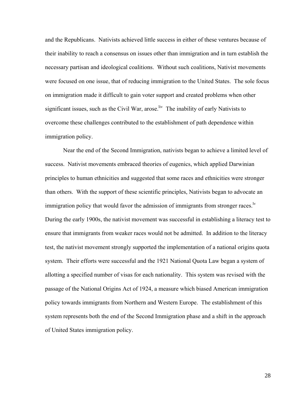and the Republicans. Nativists achieved little success in either of these ventures because of their inability to reach a consensus on issues other than immigration and in turn establish the necessary partisan and ideological coalitions. Without such coalitions, Nativist movements were focused on one issue, that of reducing immigration to the United States. The sole focus on immigration made it difficult to gain voter support and created problems when other significant issues, such as the Civil War, arose.<sup>liv</sup> The inability of early Nativists to overcome these challenges contributed to the establishment of path dependence within immigration policy.

Near the end of the Second Immigration, nativists began to achieve a limited level of success. Nativist movements embraced theories of eugenics, which applied Darwinian principles to human ethnicities and suggested that some races and ethnicities were stronger than others. With the support of these scientific principles, Nativists began to advocate an immigration policy that would favor the admission of immigrants from stronger races.<sup> $\nu$ </sup> During the early 1900s, the nativist movement was successful in establishing a literacy test to ensure that immigrants from weaker races would not be admitted. In addition to the literacy test, the nativist movement strongly supported the implementation of a national origins quota system. Their efforts were successful and the 1921 National Quota Law began a system of allotting a specified number of visas for each nationality. This system was revised with the passage of the National Origins Act of 1924, a measure which biased American immigration policy towards immigrants from Northern and Western Europe. The establishment of this system represents both the end of the Second Immigration phase and a shift in the approach of United States immigration policy.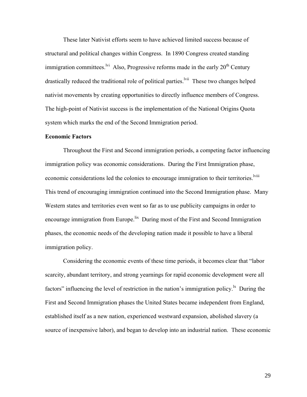These later Nativist efforts seem to have achieved limited success because of structural and political changes within Congress. In 1890 Congress created standing immigration committees.<sup> $\frac{1}{10}$ </sup> Also, Progressive reforms made in the early 20<sup>th</sup> Century drastically reduced the traditional role of political parties.<sup>Ivii</sup> These two changes helped nativist movements by creating opportunities to directly influence members of Congress. The high-point of Nativist success is the implementation of the National Origins Quota system which marks the end of the Second Immigration period.

#### **Economic Factors**

Throughout the First and Second immigration periods, a competing factor influencing immigration policy was economic considerations. During the First Immigration phase, economic considerations led the colonies to encourage immigration to their territories.<sup>lviii</sup> This trend of encouraging immigration continued into the Second Immigration phase. Many Western states and territories even went so far as to use publicity campaigns in order to encourage immigration from Europe.<sup>lix</sup> During most of the First and Second Immigration phases, the economic needs of the developing nation made it possible to have a liberal immigration policy.

Considering the economic events of these time periods, it becomes clear that "labor scarcity, abundant territory, and strong yearnings for rapid economic development were all factors" influencing the level of restriction in the nation's immigration policy.<sup>1x</sup> During the First and Second Immigration phases the United States became independent from England, established itself as a new nation, experienced westward expansion, abolished slavery (a source of inexpensive labor), and began to develop into an industrial nation. These economic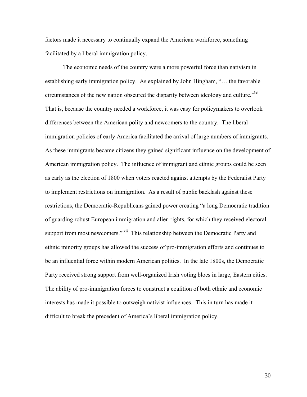factors made it necessary to continually expand the American workforce, something facilitated by a liberal immigration policy.

The economic needs of the country were a more powerful force than nativism in establishing early immigration policy. As explained by John Hingham, "… the favorable circumstances of the new nation obscured the disparity between ideology and culture.<sup>"Ixi</sup> That is, because the country needed a workforce, it was easy for policymakers to overlook differences between the American polity and newcomers to the country. The liberal immigration policies of early America facilitated the arrival of large numbers of immigrants. As these immigrants became citizens they gained significant influence on the development of American immigration policy. The influence of immigrant and ethnic groups could be seen as early as the election of 1800 when voters reacted against attempts by the Federalist Party to implement restrictions on immigration. As a result of public backlash against these restrictions, the Democratic-Republicans gained power creating "a long Democratic tradition of guarding robust European immigration and alien rights, for which they received electoral support from most newcomers."<sup>Ixii</sup> This relationship between the Democratic Party and ethnic minority groups has allowed the success of pro-immigration efforts and continues to be an influential force within modern American politics. In the late 1800s, the Democratic Party received strong support from well-organized Irish voting blocs in large, Eastern cities. The ability of pro-immigration forces to construct a coalition of both ethnic and economic interests has made it possible to outweigh nativist influences. This in turn has made it difficult to break the precedent of America's liberal immigration policy.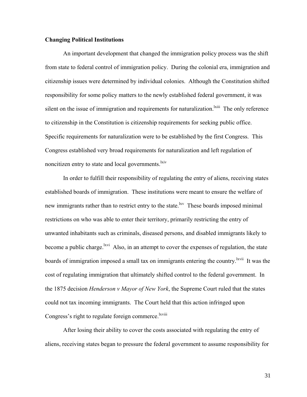#### **Changing Political Institutions**

An important development that changed the immigration policy process was the shift from state to federal control of immigration policy. During the colonial era, immigration and citizenship issues were determined by individual colonies. Although the Constitution shifted responsibility for some policy matters to the newly established federal government, it was silent on the issue of immigration and requirements for naturalization.<sup>Ixiii</sup> The only reference to citizenship in the Constitution is citizenship requirements for seeking public office. Specific requirements for naturalization were to be established by the first Congress. This Congress established very broad requirements for naturalization and left regulation of noncitizen entry to state and local governments.<sup>lxiv</sup>

In order to fulfill their responsibility of regulating the entry of aliens, receiving states established boards of immigration. These institutions were meant to ensure the welfare of new immigrants rather than to restrict entry to the state.<sup>lxv</sup> These boards imposed minimal restrictions on who was able to enter their territory, primarily restricting the entry of unwanted inhabitants such as criminals, diseased persons, and disabled immigrants likely to become a public charge.<sup>lxvi</sup> Also, in an attempt to cover the expenses of regulation, the state boards of immigration imposed a small tax on immigrants entering the country.<sup>1xvii</sup> It was the cost of regulating immigration that ultimately shifted control to the federal government. In the 1875 decision *Henderson v Mayor of New York*, the Supreme Court ruled that the states could not tax incoming immigrants. The Court held that this action infringed upon Congress's right to regulate foreign commerce.<sup>lxviii</sup>

After losing their ability to cover the costs associated with regulating the entry of aliens, receiving states began to pressure the federal government to assume responsibility for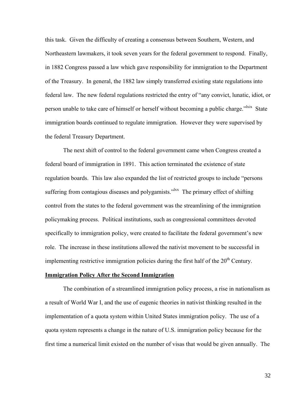this task. Given the difficulty of creating a consensus between Southern, Western, and Northeastern lawmakers, it took seven years for the federal government to respond. Finally, in 1882 Congress passed a law which gave responsibility for immigration to the Department of the Treasury. In general, the 1882 law simply transferred existing state regulations into federal law. The new federal regulations restricted the entry of "any convict, lunatic, idiot, or person unable to take care of himself or herself without becoming a public charge."<sup>Ixix</sup> State immigration boards continued to regulate immigration. However they were supervised by the federal Treasury Department.

The next shift of control to the federal government came when Congress created a federal board of immigration in 1891. This action terminated the existence of state regulation boards. This law also expanded the list of restricted groups to include "persons suffering from contagious diseases and polygamists.<sup> $\frac{N}{X}$ </sup> The primary effect of shifting control from the states to the federal government was the streamlining of the immigration policymaking process. Political institutions, such as congressional committees devoted specifically to immigration policy, were created to facilitate the federal government's new role. The increase in these institutions allowed the nativist movement to be successful in implementing restrictive immigration policies during the first half of the  $20<sup>th</sup>$  Century.

#### **Immigration Policy After the Second Immigration**

The combination of a streamlined immigration policy process, a rise in nationalism as a result of World War I, and the use of eugenic theories in nativist thinking resulted in the implementation of a quota system within United States immigration policy. The use of a quota system represents a change in the nature of U.S. immigration policy because for the first time a numerical limit existed on the number of visas that would be given annually. The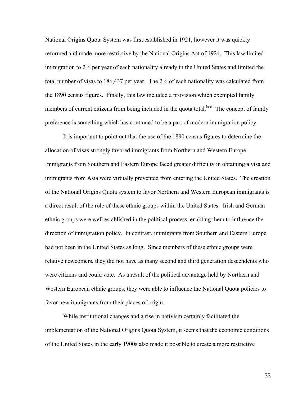National Origins Quota System was first established in 1921, however it was quickly reformed and made more restrictive by the National Origins Act of 1924. This law limited immigration to 2% per year of each nationality already in the United States and limited the total number of visas to 186,437 per year. The 2% of each nationality was calculated from the 1890 census figures. Finally, this law included a provision which exempted family members of current citizens from being included in the quota total.<sup>1xxi</sup> The concept of family preference is something which has continued to be a part of modern immigration policy.

It is important to point out that the use of the 1890 census figures to determine the allocation of visas strongly favored immigrants from Northern and Western Europe. Immigrants from Southern and Eastern Europe faced greater difficulty in obtaining a visa and immigrants from Asia were virtually prevented from entering the United States. The creation of the National Origins Quota system to favor Northern and Western European immigrants is a direct result of the role of these ethnic groups within the United States. Irish and German ethnic groups were well established in the political process, enabling them to influence the direction of immigration policy. In contrast, immigrants from Southern and Eastern Europe had not been in the United States as long. Since members of these ethnic groups were relative newcomers, they did not have as many second and third generation descendents who were citizens and could vote. As a result of the political advantage held by Northern and Western European ethnic groups, they were able to influence the National Quota policies to favor new immigrants from their places of origin.

While institutional changes and a rise in nativism certainly facilitated the implementation of the National Origins Quota System, it seems that the economic conditions of the United States in the early 1900s also made it possible to create a more restrictive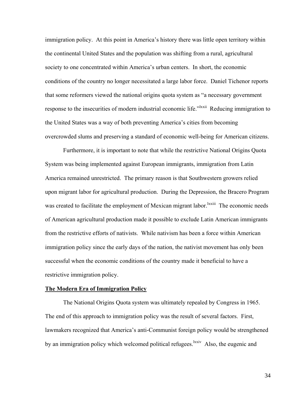immigration policy. At this point in America's history there was little open territory within the continental United States and the population was shifting from a rural, agricultural society to one concentrated within America's urban centers. In short, the economic conditions of the country no longer necessitated a large labor force. Daniel Tichenor reports that some reformers viewed the national origins quota system as "a necessary government response to the insecurities of modern industrial economic life."<sup>Ixxii</sup> Reducing immigration to the United States was a way of both preventing America's cities from becoming overcrowded slums and preserving a standard of economic well-being for American citizens.

Furthermore, it is important to note that while the restrictive National Origins Quota System was being implemented against European immigrants, immigration from Latin America remained unrestricted. The primary reason is that Southwestern growers relied upon migrant labor for agricultural production. During the Depression, the Bracero Program was created to facilitate the employment of Mexican migrant labor.<sup>Ixxiii</sup> The economic needs of American agricultural production made it possible to exclude Latin American immigrants from the restrictive efforts of nativists. While nativism has been a force within American immigration policy since the early days of the nation, the nativist movement has only been successful when the economic conditions of the country made it beneficial to have a restrictive immigration policy.

#### **The Modern Era of Immigration Policy**

The National Origins Quota system was ultimately repealed by Congress in 1965. The end of this approach to immigration policy was the result of several factors. First, lawmakers recognized that America's anti-Communist foreign policy would be strengthened by an immigration policy which welcomed political refugees.<sup>lxxiv</sup> Also, the eugenic and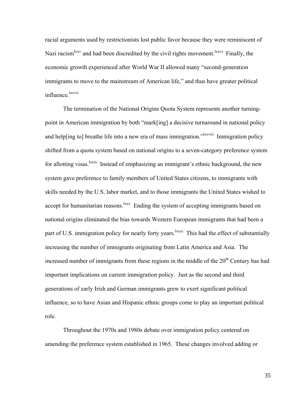racial arguments used by restrictionists lost public favor because they were reminiscent of Nazi racism<sup>lxxv</sup> and had been discredited by the civil rights movement.<sup>1xxvi</sup> Finally, the economic growth experienced after World War II allowed many "second-generation immigrants to move to the mainstream of American life," and thus have greater political influence lxxvii

The termination of the National Origins Quota System represents another turningpoint in American immigration by both "mark[ing] a decisive turnaround in national policy and help[ing to] breathe life into a new era of mass immigration.<sup>"Ixxviii</sup> Immigration policy shifted from a quota system based on national origins to a seven-category preference system for allotting visas.<sup>lxxix</sup> Instead of emphasizing an immigrant's ethnic background, the new system gave preference to family members of United States citizens, to immigrants with skills needed by the U.S. labor market, and to those immigrants the United States wished to accept for humanitarian reasons.<sup>1xxx</sup> Ending the system of accepting immigrants based on national origins eliminated the bias towards Western European immigrants that had been a part of U.S. immigration policy for nearly forty years.<sup>1xxxi</sup> This had the effect of substantially increasing the number of immigrants originating from Latin America and Asia. The increased number of immigrants from these regions in the middle of the  $20<sup>th</sup>$  Century has had important implications on current immigration policy. Just as the second and third generations of early Irish and German immigrants grew to exert significant political influence, so to have Asian and Hispanic ethnic groups come to play an important political role.

Throughout the 1970s and 1980s debate over immigration policy centered on amending the preference system established in 1965. These changes involved adding or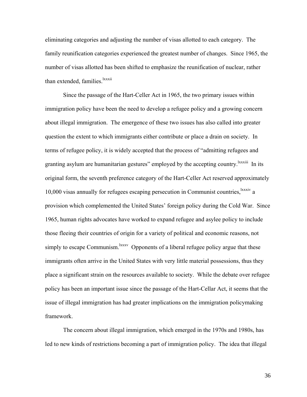eliminating categories and adjusting the number of visas allotted to each category. The family reunification categories experienced the greatest number of changes. Since 1965, the number of visas allotted has been shifted to emphasize the reunification of nuclear, rather than extended, families.<sup>lxxxii</sup>

Since the passage of the Hart-Celler Act in 1965, the two primary issues within immigration policy have been the need to develop a refugee policy and a growing concern about illegal immigration. The emergence of these two issues has also called into greater question the extent to which immigrants either contribute or place a drain on society. In terms of refugee policy, it is widely accepted that the process of "admitting refugees and granting asylum are humanitarian gestures" employed by the accepting country. <sup>Ixxxiii</sup> In its original form, the seventh preference category of the Hart-Celler Act reserved approximately  $10,000$  visas annually for refugees escaping persecution in Communist countries,  $\frac{lxxxiv}{l}$  a provision which complemented the United States' foreign policy during the Cold War. Since 1965, human rights advocates have worked to expand refugee and asylee policy to include those fleeing their countries of origin for a variety of political and economic reasons, not simply to escape Communism.<sup>lxxxv</sup> Opponents of a liberal refugee policy argue that these immigrants often arrive in the United States with very little material possessions, thus they place a significant strain on the resources available to society. While the debate over refugee policy has been an important issue since the passage of the Hart-Cellar Act, it seems that the issue of illegal immigration has had greater implications on the immigration policymaking framework.

The concern about illegal immigration, which emerged in the 1970s and 1980s, has led to new kinds of restrictions becoming a part of immigration policy. The idea that illegal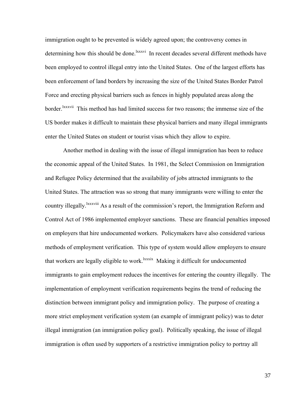immigration ought to be prevented is widely agreed upon; the controversy comes in determining how this should be done.<sup>lxxxvi</sup> In recent decades several different methods have been employed to control illegal entry into the United States. One of the largest efforts has been enforcement of land borders by increasing the size of the United States Border Patrol Force and erecting physical barriers such as fences in highly populated areas along the border.<sup>lxxxvii</sup> This method has had limited success for two reasons; the immense size of the US border makes it difficult to maintain these physical barriers and many illegal immigrants enter the United States on student or tourist visas which they allow to expire.

Another method in dealing with the issue of illegal immigration has been to reduce the economic appeal of the United States. In 1981, the Select Commission on Immigration and Refugee Policy determined that the availability of jobs attracted immigrants to the United States. The attraction was so strong that many immigrants were willing to enter the country illegally.<sup>Ixxxviii</sup> As a result of the commission's report, the Immigration Reform and Control Act of 1986 implemented employer sanctions. These are financial penalties imposed on employers that hire undocumented workers. Policymakers have also considered various methods of employment verification. This type of system would allow employers to ensure that workers are legally eligible to work.<sup>Ixxxix</sup> Making it difficult for undocumented immigrants to gain employment reduces the incentives for entering the country illegally. The implementation of employment verification requirements begins the trend of reducing the distinction between immigrant policy and immigration policy. The purpose of creating a more strict employment verification system (an example of immigrant policy) was to deter illegal immigration (an immigration policy goal). Politically speaking, the issue of illegal immigration is often used by supporters of a restrictive immigration policy to portray all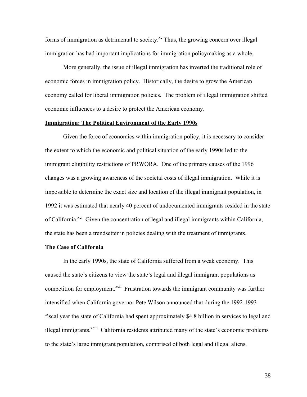forms of immigration as detrimental to society. $x_c$  Thus, the growing concern over illegal immigration has had important implications for immigration policymaking as a whole.

More generally, the issue of illegal immigration has inverted the traditional role of economic forces in immigration policy. Historically, the desire to grow the American economy called for liberal immigration policies. The problem of illegal immigration shifted economic influences to a desire to protect the American economy.

### **Immigration: The Political Environment of the Early 1990s**

Given the force of economics within immigration policy, it is necessary to consider the extent to which the economic and political situation of the early 1990s led to the immigrant eligibility restrictions of PRWORA. One of the primary causes of the 1996 changes was a growing awareness of the societal costs of illegal immigration. While it is impossible to determine the exact size and location of the illegal immigrant population, in 1992 it was estimated that nearly 40 percent of undocumented immigrants resided in the state of California.<sup>xci</sup> Given the concentration of legal and illegal immigrants within California, the state has been a trendsetter in policies dealing with the treatment of immigrants.

## **The Case of California**

In the early 1990s, the state of California suffered from a weak economy. This caused the state's citizens to view the state's legal and illegal immigrant populations as competition for employment.<sup>xcii</sup> Frustration towards the immigrant community was further intensified when California governor Pete Wilson announced that during the 1992-1993 fiscal year the state of California had spent approximately \$4.8 billion in services to legal and illegal immigrants.<sup>xciii</sup> California residents attributed many of the state's economic problems to the state's large immigrant population, comprised of both legal and illegal aliens.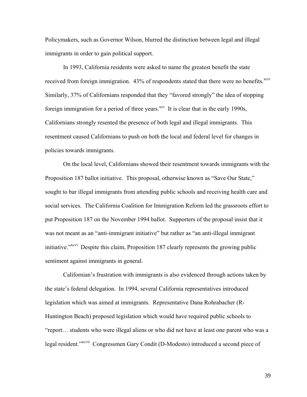Policymakers, such as Governor Wilson, blurred the distinction between legal and illegal immigrants in order to gain political support.

In 1993, California residents were asked to name the greatest benefit the state received from foreign immigration. 43% of respondents stated that there were no benefits.<sup>xciv</sup> Similarly, 37% of Californians responded that they "favored strongly" the idea of stopping foreign immigration for a period of three years. $x^{x}$  It is clear that in the early 1990s, Californians strongly resented the presence of both legal and illegal immigrants. This resentment caused Californians to push on both the local and federal level for changes in policies towards immigrants.

On the local level, Californians showed their resentment towards immigrants with the Proposition 187 ballot initiative. This proposal, otherwise known as "Save Our State," sought to bar illegal immigrants from attending public schools and receiving health care and social services. The California Coalition for Immigration Reform led the grassroots effort to put Proposition 187 on the November 1994 ballot. Supporters of the proposal insist that it was not meant as an "anti-immigrant initiative" but rather as "an anti-illegal immigrant initiative."<sup>xcvi</sup> Despite this claim, Proposition 187 clearly represents the growing public sentiment against immigrants in general.

Californian's frustration with immigrants is also evidenced through actions taken by the state's federal delegation. In 1994, several California representatives introduced legislation which was aimed at immigrants. Representative Dana Rohrabacher (R-Huntington Beach) proposed legislation which would have required public schools to "report… students who were illegal aliens or who did not have at least one parent who was a legal resident."xcvii Congressmen Gary Condit (D-Modesto) introduced a second piece of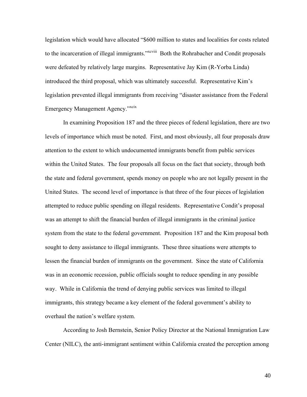legislation which would have allocated "\$600 million to states and localities for costs related to the incarceration of illegal immigrants."<sup>xcviii</sup> Both the Rohrabacher and Condit proposals were defeated by relatively large margins. Representative Jay Kim (R-Yorba Linda) introduced the third proposal, which was ultimately successful. Representative Kim's legislation prevented illegal immigrants from receiving "disaster assistance from the Federal Emergency Management Agency."xcix

In examining Proposition 187 and the three pieces of federal legislation, there are two levels of importance which must be noted. First, and most obviously, all four proposals draw attention to the extent to which undocumented immigrants benefit from public services within the United States. The four proposals all focus on the fact that society, through both the state and federal government, spends money on people who are not legally present in the United States. The second level of importance is that three of the four pieces of legislation attempted to reduce public spending on illegal residents. Representative Condit's proposal was an attempt to shift the financial burden of illegal immigrants in the criminal justice system from the state to the federal government. Proposition 187 and the Kim proposal both sought to deny assistance to illegal immigrants. These three situations were attempts to lessen the financial burden of immigrants on the government. Since the state of California was in an economic recession, public officials sought to reduce spending in any possible way. While in California the trend of denying public services was limited to illegal immigrants, this strategy became a key element of the federal government's ability to overhaul the nation's welfare system.

According to Josh Bernstein, Senior Policy Director at the National Immigration Law Center (NILC), the anti-immigrant sentiment within California created the perception among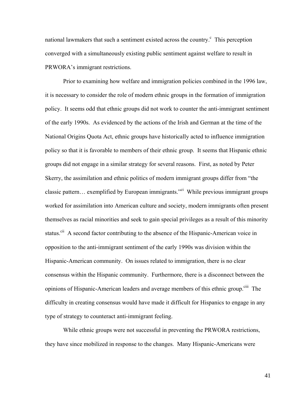national lawmakers that such a sentiment existed across the country.<sup>c</sup> This perception converged with a simultaneously existing public sentiment against welfare to result in PRWORA's immigrant restrictions.

 Prior to examining how welfare and immigration policies combined in the 1996 law, it is necessary to consider the role of modern ethnic groups in the formation of immigration policy. It seems odd that ethnic groups did not work to counter the anti-immigrant sentiment of the early 1990s. As evidenced by the actions of the Irish and German at the time of the National Origins Quota Act, ethnic groups have historically acted to influence immigration policy so that it is favorable to members of their ethnic group. It seems that Hispanic ethnic groups did not engage in a similar strategy for several reasons. First, as noted by Peter Skerry, the assimilation and ethnic politics of modern immigrant groups differ from "the classic pattern… exemplified by European immigrants.<sup>"ci</sup> While previous immigrant groups worked for assimilation into American culture and society, modern immigrants often present themselves as racial minorities and seek to gain special privileges as a result of this minority status.<sup>cii</sup> A second factor contributing to the absence of the Hispanic-American voice in opposition to the anti-immigrant sentiment of the early 1990s was division within the Hispanic-American community. On issues related to immigration, there is no clear consensus within the Hispanic community. Furthermore, there is a disconnect between the opinions of Hispanic-American leaders and average members of this ethnic group.<sup>ciii</sup> The difficulty in creating consensus would have made it difficult for Hispanics to engage in any type of strategy to counteract anti-immigrant feeling.

 While ethnic groups were not successful in preventing the PRWORA restrictions, they have since mobilized in response to the changes. Many Hispanic-Americans were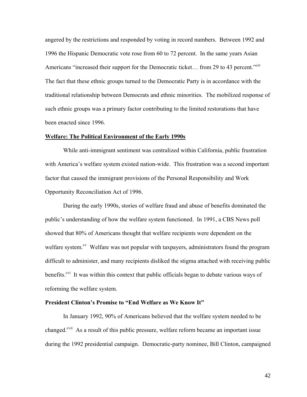angered by the restrictions and responded by voting in record numbers. Between 1992 and 1996 the Hispanic Democratic vote rose from 60 to 72 percent. In the same years Asian Americans "increased their support for the Democratic ticket... from 29 to 43 percent.<sup>"Civ</sup> The fact that these ethnic groups turned to the Democratic Party is in accordance with the traditional relationship between Democrats and ethnic minorities. The mobilized response of such ethnic groups was a primary factor contributing to the limited restorations that have been enacted since 1996.

#### **Welfare: The Political Environment of the Early 1990s**

While anti-immigrant sentiment was centralized within California, public frustration with America's welfare system existed nation-wide. This frustration was a second important factor that caused the immigrant provisions of the Personal Responsibility and Work Opportunity Reconciliation Act of 1996.

During the early 1990s, stories of welfare fraud and abuse of benefits dominated the public's understanding of how the welfare system functioned. In 1991, a CBS News poll showed that 80% of Americans thought that welfare recipients were dependent on the welfare system.<sup>cv</sup> Welfare was not popular with taxpayers, administrators found the program difficult to administer, and many recipients disliked the stigma attached with receiving public benefits.<sup>cvi</sup> It was within this context that public officials began to debate various ways of reforming the welfare system.

### **President Clinton's Promise to "End Welfare as We Know It"**

 In January 1992, 90% of Americans believed that the welfare system needed to be changed.<sup>cvii</sup> As a result of this public pressure, welfare reform became an important issue during the 1992 presidential campaign. Democratic-party nominee, Bill Clinton, campaigned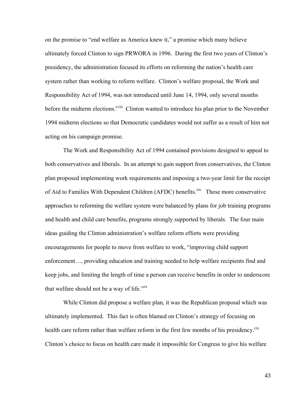on the promise to "end welfare as America knew it," a promise which many believe ultimately forced Clinton to sign PRWORA in 1996. During the first two years of Clinton's presidency, the administration focused its efforts on reforming the nation's health care system rather than working to reform welfare. Clinton's welfare proposal, the Work and Responsibility Act of 1994, was not introduced until June 14, 1994, only several months before the midterm elections.<sup>cviii</sup> Clinton wanted to introduce his plan prior to the November 1994 midterm elections so that Democratic candidates would not suffer as a result of him not acting on his campaign promise.

 The Work and Responsibility Act of 1994 contained provisions designed to appeal to both conservatives and liberals. In an attempt to gain support from conservatives, the Clinton plan proposed implementing work requirements and imposing a two-year limit for the receipt of Aid to Families With Dependent Children (AFDC) benefits.<sup>cix</sup> These more conservative approaches to reforming the welfare system were balanced by plans for job training programs and health and child care benefits, programs strongly supported by liberals. The four main ideas guiding the Clinton administration's welfare reform efforts were providing encouragements for people to move from welfare to work, "improving child support enforcement…, providing education and training needed to help welfare recipients find and keep jobs, and limiting the length of time a person can receive benefits in order to underscore that welfare should not be a way of life." $cx$ 

While Clinton did propose a welfare plan, it was the Republican proposal which was ultimately implemented. This fact is often blamed on Clinton's strategy of focusing on health care reform rather than welfare reform in the first few months of his presidency.<sup>cxi</sup> Clinton's choice to focus on health care made it impossible for Congress to give his welfare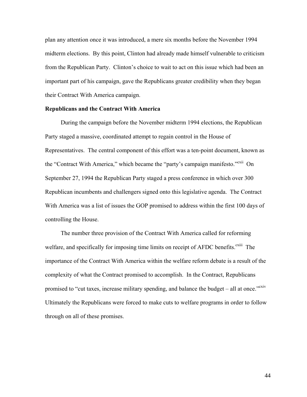plan any attention once it was introduced, a mere six months before the November 1994 midterm elections. By this point, Clinton had already made himself vulnerable to criticism from the Republican Party. Clinton's choice to wait to act on this issue which had been an important part of his campaign, gave the Republicans greater credibility when they began their Contract With America campaign.

## **Republicans and the Contract With America**

 During the campaign before the November midterm 1994 elections, the Republican Party staged a massive, coordinated attempt to regain control in the House of Representatives. The central component of this effort was a ten-point document, known as the "Contract With America," which became the "party's campaign manifesto."<sup>cxii</sup> On September 27, 1994 the Republican Party staged a press conference in which over 300 Republican incumbents and challengers signed onto this legislative agenda. The Contract With America was a list of issues the GOP promised to address within the first 100 days of controlling the House.

 The number three provision of the Contract With America called for reforming welfare, and specifically for imposing time limits on receipt of AFDC benefits.<sup>cxiii</sup> The importance of the Contract With America within the welfare reform debate is a result of the complexity of what the Contract promised to accomplish. In the Contract, Republicans promised to "cut taxes, increase military spending, and balance the budget – all at once." $\alpha$ xiv Ultimately the Republicans were forced to make cuts to welfare programs in order to follow through on all of these promises.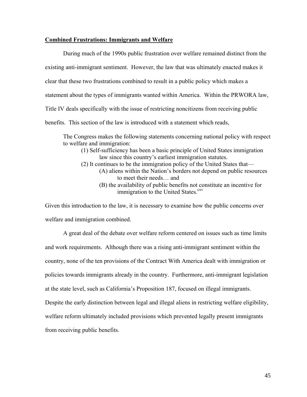## **Combined Frustrations: Immigrants and Welfare**

During much of the 1990s public frustration over welfare remained distinct from the existing anti-immigrant sentiment. However, the law that was ultimately enacted makes it clear that these two frustrations combined to result in a public policy which makes a statement about the types of immigrants wanted within America. Within the PRWORA law, Title IV deals specifically with the issue of restricting noncitizens from receiving public benefits. This section of the law is introduced with a statement which reads,

The Congress makes the following statements concerning national policy with respect to welfare and immigration:

- (1) Self-sufficiency has been a basic principle of United States immigration law since this country's earliest immigration statutes.
- (2) It continues to be the immigration policy of the United States that— (A) aliens within the Nation's borders not depend on public resources to meet their needs… and
	- (B) the availability of public benefits not constitute an incentive for immigration to the United States.<sup>cxv</sup>

Given this introduction to the law, it is necessary to examine how the public concerns over welfare and immigration combined.

A great deal of the debate over welfare reform centered on issues such as time limits and work requirements. Although there was a rising anti-immigrant sentiment within the country, none of the ten provisions of the Contract With America dealt with immigration or policies towards immigrants already in the country. Furthermore, anti-immigrant legislation at the state level, such as California's Proposition 187, focused on illegal immigrants. Despite the early distinction between legal and illegal aliens in restricting welfare eligibility, welfare reform ultimately included provisions which prevented legally present immigrants from receiving public benefits.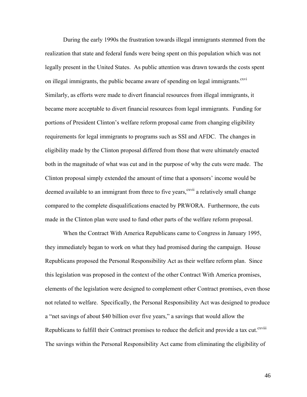During the early 1990s the frustration towards illegal immigrants stemmed from the realization that state and federal funds were being spent on this population which was not legally present in the United States. As public attention was drawn towards the costs spent on illegal immigrants, the public became aware of spending on legal immigrants.<sup>cxvi</sup> Similarly, as efforts were made to divert financial resources from illegal immigrants, it became more acceptable to divert financial resources from legal immigrants. Funding for portions of President Clinton's welfare reform proposal came from changing eligibility requirements for legal immigrants to programs such as SSI and AFDC. The changes in eligibility made by the Clinton proposal differed from those that were ultimately enacted both in the magnitude of what was cut and in the purpose of why the cuts were made. The Clinton proposal simply extended the amount of time that a sponsors' income would be deemed available to an immigrant from three to five years,<sup>cxvii</sup> a relatively small change compared to the complete disqualifications enacted by PRWORA. Furthermore, the cuts made in the Clinton plan were used to fund other parts of the welfare reform proposal.

When the Contract With America Republicans came to Congress in January 1995, they immediately began to work on what they had promised during the campaign. House Republicans proposed the Personal Responsibility Act as their welfare reform plan. Since this legislation was proposed in the context of the other Contract With America promises, elements of the legislation were designed to complement other Contract promises, even those not related to welfare. Specifically, the Personal Responsibility Act was designed to produce a "net savings of about \$40 billion over five years," a savings that would allow the Republicans to fulfill their Contract promises to reduce the deficit and provide a tax cut.<sup>cxviii</sup> The savings within the Personal Responsibility Act came from eliminating the eligibility of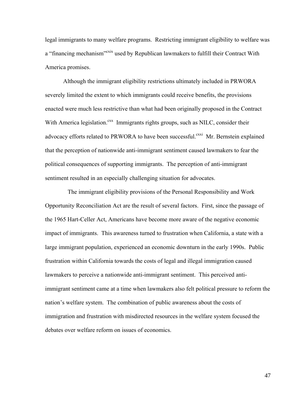legal immigrants to many welfare programs. Restricting immigrant eligibility to welfare was a "financing mechanism"<sup>cxix</sup> used by Republican lawmakers to fulfill their Contract With America promises.

Although the immigrant eligibility restrictions ultimately included in PRWORA severely limited the extent to which immigrants could receive benefits, the provisions enacted were much less restrictive than what had been originally proposed in the Contract With America legislation.<sup>cxx</sup> Immigrants rights groups, such as NILC, consider their advocacy efforts related to PRWORA to have been successful.<sup>cxxi</sup> Mr. Bernstein explained that the perception of nationwide anti-immigrant sentiment caused lawmakers to fear the political consequences of supporting immigrants. The perception of anti-immigrant sentiment resulted in an especially challenging situation for advocates.

 The immigrant eligibility provisions of the Personal Responsibility and Work Opportunity Reconciliation Act are the result of several factors. First, since the passage of the 1965 Hart-Celler Act, Americans have become more aware of the negative economic impact of immigrants. This awareness turned to frustration when California, a state with a large immigrant population, experienced an economic downturn in the early 1990s. Public frustration within California towards the costs of legal and illegal immigration caused lawmakers to perceive a nationwide anti-immigrant sentiment. This perceived antiimmigrant sentiment came at a time when lawmakers also felt political pressure to reform the nation's welfare system. The combination of public awareness about the costs of immigration and frustration with misdirected resources in the welfare system focused the debates over welfare reform on issues of economics.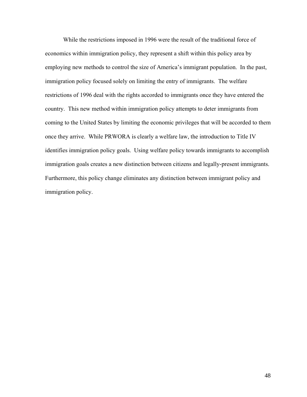While the restrictions imposed in 1996 were the result of the traditional force of economics within immigration policy, they represent a shift within this policy area by employing new methods to control the size of America's immigrant population. In the past, immigration policy focused solely on limiting the entry of immigrants. The welfare restrictions of 1996 deal with the rights accorded to immigrants once they have entered the country. This new method within immigration policy attempts to deter immigrants from coming to the United States by limiting the economic privileges that will be accorded to them once they arrive. While PRWORA is clearly a welfare law, the introduction to Title IV identifies immigration policy goals. Using welfare policy towards immigrants to accomplish immigration goals creates a new distinction between citizens and legally-present immigrants. Furthermore, this policy change eliminates any distinction between immigrant policy and immigration policy.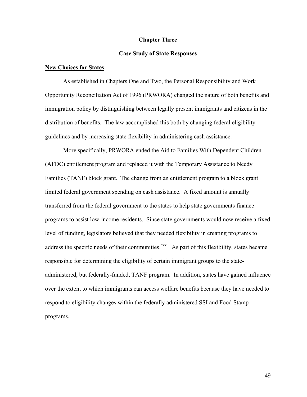#### **Chapter Three**

#### **Case Study of State Responses**

# **New Choices for States**

As established in Chapters One and Two, the Personal Responsibility and Work Opportunity Reconciliation Act of 1996 (PRWORA) changed the nature of both benefits and immigration policy by distinguishing between legally present immigrants and citizens in the distribution of benefits. The law accomplished this both by changing federal eligibility guidelines and by increasing state flexibility in administering cash assistance.

More specifically, PRWORA ended the Aid to Families With Dependent Children (AFDC) entitlement program and replaced it with the Temporary Assistance to Needy Families (TANF) block grant. The change from an entitlement program to a block grant limited federal government spending on cash assistance. A fixed amount is annually transferred from the federal government to the states to help state governments finance programs to assist low-income residents. Since state governments would now receive a fixed level of funding, legislators believed that they needed flexibility in creating programs to address the specific needs of their communities.<sup>cxxii</sup> As part of this flexibility, states became responsible for determining the eligibility of certain immigrant groups to the stateadministered, but federally-funded, TANF program. In addition, states have gained influence over the extent to which immigrants can access welfare benefits because they have needed to respond to eligibility changes within the federally administered SSI and Food Stamp programs.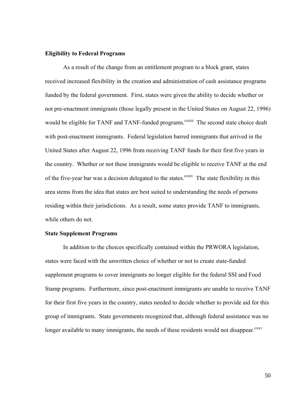### **Eligibility to Federal Programs**

As a result of the change from an entitlement program to a block grant, states received increased flexibility in the creation and administration of cash assistance programs funded by the federal government. First, states were given the ability to decide whether or not pre-enactment immigrants (those legally present in the United States on August 22, 1996) would be eligible for TANF and TANF-funded programs.<sup>cxxiii</sup> The second state choice dealt with post-enactment immigrants. Federal legislation barred immigrants that arrived in the United States after August 22, 1996 from receiving TANF funds for their first five years in the country. Whether or not these immigrants would be eligible to receive TANF at the end of the five-year bar was a decision delegated to the states.<sup>cxxiv</sup> The state flexibility in this area stems from the idea that states are best suited to understanding the needs of persons residing within their jurisdictions. As a result, some states provide TANF to immigrants, while others do not.

### **State Supplement Programs**

In addition to the choices specifically contained within the PRWORA legislation, states were faced with the unwritten choice of whether or not to create state-funded supplement programs to cover immigrants no longer eligible for the federal SSI and Food Stamp programs. Furthermore, since post-enactment immigrants are unable to receive TANF for their first five years in the country, states needed to decide whether to provide aid for this group of immigrants. State governments recognized that, although federal assistance was no longer available to many immigrants, the needs of these residents would not disappear.<sup>cxxv</sup>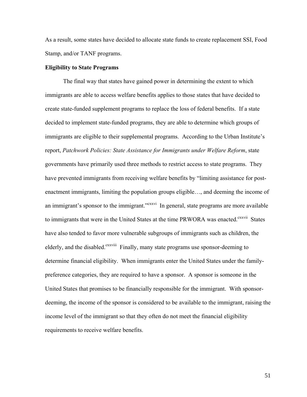As a result, some states have decided to allocate state funds to create replacement SSI, Food Stamp, and/or TANF programs.

## **Eligibility to State Programs**

The final way that states have gained power in determining the extent to which immigrants are able to access welfare benefits applies to those states that have decided to create state-funded supplement programs to replace the loss of federal benefits. If a state decided to implement state-funded programs, they are able to determine which groups of immigrants are eligible to their supplemental programs. According to the Urban Institute's report, *Patchwork Policies: State Assistance for Immigrants under Welfare Reform*, state governments have primarily used three methods to restrict access to state programs. They have prevented immigrants from receiving welfare benefits by "limiting assistance for postenactment immigrants, limiting the population groups eligible…, and deeming the income of an immigrant's sponsor to the immigrant.<sup>"cxxvi</sup> In general, state programs are more available to immigrants that were in the United States at the time PRWORA was enacted.<sup>cxxvii</sup> States have also tended to favor more vulnerable subgroups of immigrants such as children, the elderly, and the disabled.<sup>cxxviii</sup> Finally, many state programs use sponsor-deeming to determine financial eligibility. When immigrants enter the United States under the familypreference categories, they are required to have a sponsor. A sponsor is someone in the United States that promises to be financially responsible for the immigrant. With sponsordeeming, the income of the sponsor is considered to be available to the immigrant, raising the income level of the immigrant so that they often do not meet the financial eligibility requirements to receive welfare benefits.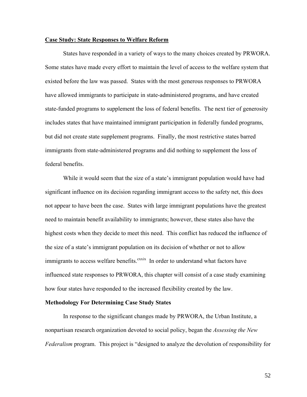#### **Case Study: State Responses to Welfare Reform**

States have responded in a variety of ways to the many choices created by PRWORA. Some states have made every effort to maintain the level of access to the welfare system that existed before the law was passed. States with the most generous responses to PRWORA have allowed immigrants to participate in state-administered programs, and have created state-funded programs to supplement the loss of federal benefits. The next tier of generosity includes states that have maintained immigrant participation in federally funded programs, but did not create state supplement programs. Finally, the most restrictive states barred immigrants from state-administered programs and did nothing to supplement the loss of federal benefits.

While it would seem that the size of a state's immigrant population would have had significant influence on its decision regarding immigrant access to the safety net, this does not appear to have been the case. States with large immigrant populations have the greatest need to maintain benefit availability to immigrants; however, these states also have the highest costs when they decide to meet this need. This conflict has reduced the influence of the size of a state's immigrant population on its decision of whether or not to allow immigrants to access welfare benefits.<sup>cxxix</sup> In order to understand what factors have influenced state responses to PRWORA, this chapter will consist of a case study examining how four states have responded to the increased flexibility created by the law.

## **Methodology For Determining Case Study States**

In response to the significant changes made by PRWORA, the Urban Institute, a nonpartisan research organization devoted to social policy, began the *Assessing the New Federalism* program. This project is "designed to analyze the devolution of responsibility for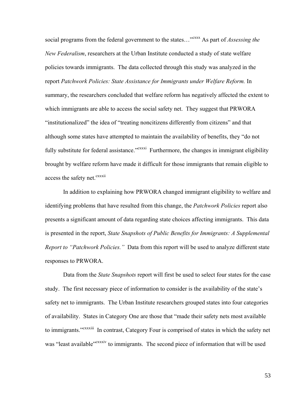social programs from the federal government to the states..."<sup>cxxx</sup> As part of *Assessing the New Federalism*, researchers at the Urban Institute conducted a study of state welfare policies towards immigrants. The data collected through this study was analyzed in the report *Patchwork Policies: State Assistance for Immigrants under Welfare Reform.* In summary, the researchers concluded that welfare reform has negatively affected the extent to which immigrants are able to access the social safety net. They suggest that PRWORA "institutionalized" the idea of "treating noncitizens differently from citizens" and that although some states have attempted to maintain the availability of benefits, they "do not fully substitute for federal assistance."<sup>cxxxi</sup> Furthermore, the changes in immigrant eligibility brought by welfare reform have made it difficult for those immigrants that remain eligible to access the safety net.<sup>cxxxii</sup>

In addition to explaining how PRWORA changed immigrant eligibility to welfare and identifying problems that have resulted from this change, the *Patchwork Policies* report also presents a significant amount of data regarding state choices affecting immigrants. This data is presented in the report, *State Snapshots of Public Benefits for Immigrants: A Supplemental Report to "Patchwork Policies."* Data from this report will be used to analyze different state responses to PRWORA.

Data from the *State Snapshots* report will first be used to select four states for the case study. The first necessary piece of information to consider is the availability of the state's safety net to immigrants. The Urban Institute researchers grouped states into four categories of availability. States in Category One are those that "made their safety nets most available to immigrants.<sup>"cxxxiii</sup> In contrast, Category Four is comprised of states in which the safety net was "least available"<sup>cxxxiv</sup> to immigrants. The second piece of information that will be used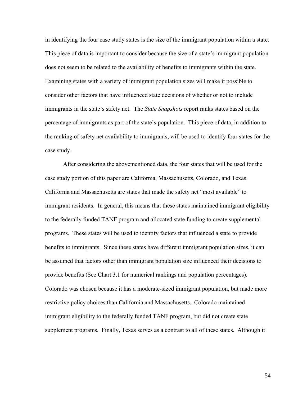in identifying the four case study states is the size of the immigrant population within a state. This piece of data is important to consider because the size of a state's immigrant population does not seem to be related to the availability of benefits to immigrants within the state. Examining states with a variety of immigrant population sizes will make it possible to consider other factors that have influenced state decisions of whether or not to include immigrants in the state's safety net. The *State Snapshots* report ranks states based on the percentage of immigrants as part of the state's population. This piece of data, in addition to the ranking of safety net availability to immigrants, will be used to identify four states for the case study.

After considering the abovementioned data, the four states that will be used for the case study portion of this paper are California, Massachusetts, Colorado, and Texas. California and Massachusetts are states that made the safety net "most available" to immigrant residents. In general, this means that these states maintained immigrant eligibility to the federally funded TANF program and allocated state funding to create supplemental programs. These states will be used to identify factors that influenced a state to provide benefits to immigrants. Since these states have different immigrant population sizes, it can be assumed that factors other than immigrant population size influenced their decisions to provide benefits (See Chart 3.1 for numerical rankings and population percentages). Colorado was chosen because it has a moderate-sized immigrant population, but made more restrictive policy choices than California and Massachusetts. Colorado maintained immigrant eligibility to the federally funded TANF program, but did not create state supplement programs. Finally, Texas serves as a contrast to all of these states. Although it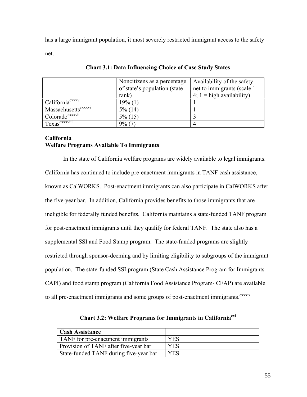has a large immigrant population, it most severely restricted immigrant access to the safety net.

|                                 | Noncitizens as a percentage   | Availability of the safety   |
|---------------------------------|-------------------------------|------------------------------|
|                                 | of state's population (state) | net to immigrants (scale 1-  |
|                                 | rank)                         | $4$ ; 1 = high availability) |
| California <sup>cxxxv</sup>     | $19\%$ (1)                    |                              |
| Massachusetts <sup>cxxxvi</sup> | $5\%$ (14)                    |                              |
| Colorado <sup>cxxxvii</sup>     | $5\%$ (15)                    |                              |
| Texas <sup>cxxxviii</sup>       | $9\%$ (7                      |                              |

## **Chart 3.1: Data Influencing Choice of Case Study States**

# **California Welfare Programs Available To Immigrants**

 In the state of California welfare programs are widely available to legal immigrants. California has continued to include pre-enactment immigrants in TANF cash assistance, known as CalWORKS. Post-enactment immigrants can also participate in CalWORKS after the five-year bar. In addition, California provides benefits to those immigrants that are ineligible for federally funded benefits. California maintains a state-funded TANF program for post-enactment immigrants until they qualify for federal TANF. The state also has a supplemental SSI and Food Stamp program. The state-funded programs are slightly restricted through sponsor-deeming and by limiting eligibility to subgroups of the immigrant population. The state-funded SSI program (State Cash Assistance Program for Immigrants-CAPI) and food stamp program (California Food Assistance Program- CFAP) are available to all pre-enactment immigrants and some groups of post-enactment immigrants.<sup>cxxxix</sup>

| Cash Assistance                        |     |
|----------------------------------------|-----|
| TANF for pre-enactment immigrants      | YES |
| Provision of TANF after five-year bar  | YES |
| State-funded TANF during five-year bar | YES |

**Chart 3.2: Welfare Programs for Immigrants in Californiacxl**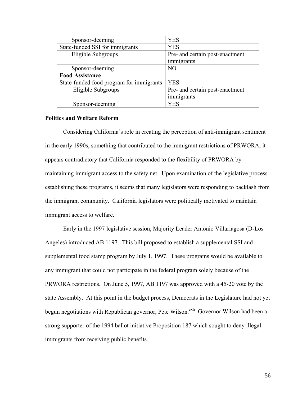| Sponsor-deeming                          | YES                             |
|------------------------------------------|---------------------------------|
| State-funded SSI for immigrants          | <b>YES</b>                      |
| Eligible Subgroups                       | Pre- and certain post-enactment |
|                                          | immigrants                      |
| Sponsor-deeming                          | N <sub>O</sub>                  |
| <b>Food Assistance</b>                   |                                 |
| State-funded food program for immigrants | <b>YES</b>                      |
| Eligible Subgroups                       | Pre- and certain post-enactment |
|                                          | immigrants                      |
| Sponsor-deeming                          | YES                             |

#### **Politics and Welfare Reform**

 Considering California's role in creating the perception of anti-immigrant sentiment in the early 1990s, something that contributed to the immigrant restrictions of PRWORA, it appears contradictory that California responded to the flexibility of PRWORA by maintaining immigrant access to the safety net. Upon examination of the legislative process establishing these programs, it seems that many legislators were responding to backlash from the immigrant community. California legislators were politically motivated to maintain immigrant access to welfare.

Early in the 1997 legislative session, Majority Leader Antonio Villariagosa (D-Los Angeles) introduced AB 1197. This bill proposed to establish a supplemental SSI and supplemental food stamp program by July 1, 1997. These programs would be available to any immigrant that could not participate in the federal program solely because of the PRWORA restrictions. On June 5, 1997, AB 1197 was approved with a 45-20 vote by the state Assembly. At this point in the budget process, Democrats in the Legislature had not yet begun negotiations with Republican governor, Pete Wilson.<sup>cxli</sup> Governor Wilson had been a strong supporter of the 1994 ballot initiative Proposition 187 which sought to deny illegal immigrants from receiving public benefits.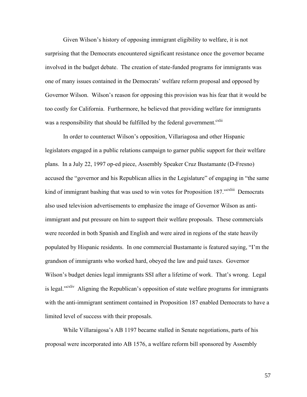Given Wilson's history of opposing immigrant eligibility to welfare, it is not surprising that the Democrats encountered significant resistance once the governor became involved in the budget debate. The creation of state-funded programs for immigrants was one of many issues contained in the Democrats' welfare reform proposal and opposed by Governor Wilson. Wilson's reason for opposing this provision was his fear that it would be too costly for California. Furthermore, he believed that providing welfare for immigrants was a responsibility that should be fulfilled by the federal government.<sup>cxlii</sup>

In order to counteract Wilson's opposition, Villariagosa and other Hispanic legislators engaged in a public relations campaign to garner public support for their welfare plans. In a July 22, 1997 op-ed piece, Assembly Speaker Cruz Bustamante (D-Fresno) accused the "governor and his Republican allies in the Legislature" of engaging in "the same kind of immigrant bashing that was used to win votes for Proposition 187."<sup>cxliii</sup> Democrats also used television advertisements to emphasize the image of Governor Wilson as antiimmigrant and put pressure on him to support their welfare proposals. These commercials were recorded in both Spanish and English and were aired in regions of the state heavily populated by Hispanic residents. In one commercial Bustamante is featured saying, "I'm the grandson of immigrants who worked hard, obeyed the law and paid taxes. Governor Wilson's budget denies legal immigrants SSI after a lifetime of work. That's wrong. Legal is legal."<sup>cxliv</sup> Aligning the Republican's opposition of state welfare programs for immigrants with the anti-immigrant sentiment contained in Proposition 187 enabled Democrats to have a limited level of success with their proposals.

While Villaraigosa's AB 1197 became stalled in Senate negotiations, parts of his proposal were incorporated into AB 1576, a welfare reform bill sponsored by Assembly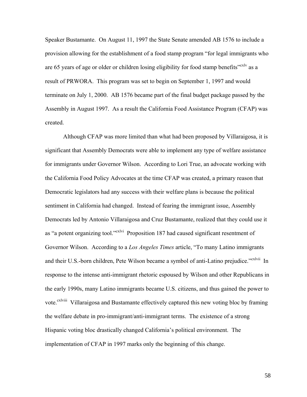Speaker Bustamante. On August 11, 1997 the State Senate amended AB 1576 to include a provision allowing for the establishment of a food stamp program "for legal immigrants who are 65 years of age or older or children losing eligibility for food stamp benefits<sup>"cxlv</sup> as a result of PRWORA. This program was set to begin on September 1, 1997 and would terminate on July 1, 2000. AB 1576 became part of the final budget package passed by the Assembly in August 1997. As a result the California Food Assistance Program (CFAP) was created.

Although CFAP was more limited than what had been proposed by Villaraigosa, it is significant that Assembly Democrats were able to implement any type of welfare assistance for immigrants under Governor Wilson. According to Lori True, an advocate working with the California Food Policy Advocates at the time CFAP was created, a primary reason that Democratic legislators had any success with their welfare plans is because the political sentiment in California had changed. Instead of fearing the immigrant issue, Assembly Democrats led by Antonio Villaraigosa and Cruz Bustamante, realized that they could use it as "a potent organizing tool."<sup>cxlvi</sup> Proposition 187 had caused significant resentment of Governor Wilson. According to a *Los Angeles Times* article, "To many Latino immigrants and their U.S.-born children, Pete Wilson became a symbol of anti-Latino prejudice."<sup>cxlvii</sup> In response to the intense anti-immigrant rhetoric espoused by Wilson and other Republicans in the early 1990s, many Latino immigrants became U.S. citizens, and thus gained the power to vote.<sup>cxlviii</sup> Villaraigosa and Bustamante effectively captured this new voting bloc by framing the welfare debate in pro-immigrant/anti-immigrant terms. The existence of a strong Hispanic voting bloc drastically changed California's political environment. The implementation of CFAP in 1997 marks only the beginning of this change.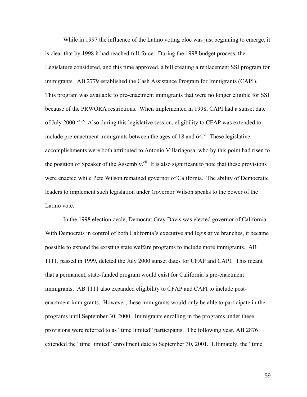While in 1997 the influence of the Latino voting bloc was just beginning to emerge, it is clear that by 1998 it had reached full-force. During the 1998 budget process, the Legislature considered, and this time approved, a bill creating a replacement SSI program for immigrants. AB 2779 established the Cash Assistance Program for Immigrants (CAPI). This program was available to pre-enactment immigrants that were no longer eligible for SSI because of the PRWORA restrictions. When implemented in 1998, CAPI had a sunset date of July 2000.<sup>cxlix</sup> Also during this legislative session, eligibility to CFAP was extended to include pre-enactment immigrants between the ages of 18 and  $64$ <sup>el</sup> These legislative accomplishments were both attributed to Antonio Villariagosa, who by this point had risen to the position of Speaker of the Assembly.<sup>cli</sup> It is also significant to note that these provisions were enacted while Pete Wilson remained governor of California. The ability of Democratic leaders to implement such legislation under Governor Wilson speaks to the power of the Latino vote.

In the 1998 election cycle, Democrat Gray Davis was elected governor of California. With Democrats in control of both California's executive and legislative branches, it became possible to expand the existing state welfare programs to include more immigrants. AB 1111, passed in 1999, deleted the July 2000 sunset dates for CFAP and CAPI. This meant that a permanent, state-funded program would exist for California's pre-enactment immigrants. AB 1111 also expanded eligibility to CFAP and CAPI to include postenactment immigrants. However, these immigrants would only be able to participate in the programs until September 30, 2000. Immigrants enrolling in the programs under these provisions were referred to as "time limited" participants. The following year, AB 2876 extended the "time limited" enrollment date to September 30, 2001. Ultimately, the "time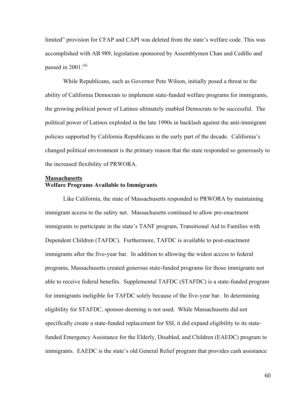limited" provision for CFAP and CAPI was deleted from the state's welfare code. This was accomplished with AB 989, legislation sponsored by Assemblymen Chan and Cedillo and passed in 2001.<sup>clii</sup>

While Republicans, such as Governor Pete Wilson, initially posed a threat to the ability of California Democrats to implement state-funded welfare programs for immigrants, the growing political power of Latinos ultimately enabled Democrats to be successful. The political power of Latinos exploded in the late 1990s in backlash against the anti-immigrant policies supported by California Republicans in the early part of the decade. California's changed political environment is the primary reason that the state responded so generously to the increased flexibility of PRWORA.

## **Massachusetts**

## **Welfare Programs Available to Immigrants**

 Like California, the state of Massachusetts responded to PRWORA by maintaining immigrant access to the safety net. Massachusetts continued to allow pre-enactment immigrants to participate in the state's TANF program, Transitional Aid to Families with Dependent Children (TAFDC). Furthermore, TAFDC is available to post-enactment immigrants after the five-year bar. In addition to allowing the widest access to federal programs, Massachusetts created generous state-funded programs for those immigrants not able to receive federal benefits. Supplemental TAFDC (STAFDC) is a state-funded program for immigrants ineligible for TAFDC solely because of the five-year bar. In determining eligibility for STAFDC, sponsor-deeming is not used. While Massachusetts did not specifically create a state-funded replacement for SSI, it did expand eligibility to its statefunded Emergency Assistance for the Elderly, Disabled, and Children (EAEDC) program to immigrants. EAEDC is the state's old General Relief program that provides cash assistance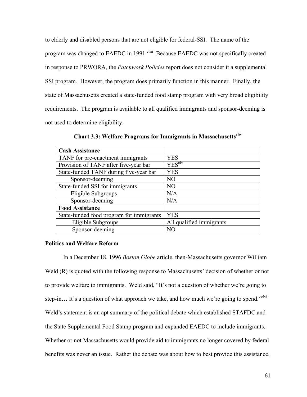to elderly and disabled persons that are not eligible for federal-SSI. The name of the program was changed to EAEDC in 1991.<sup>cliii</sup> Because EAEDC was not specifically created in response to PRWORA, the *Patchwork Policies* report does not consider it a supplemental SSI program. However, the program does primarily function in this manner. Finally, the state of Massachusetts created a state-funded food stamp program with very broad eligibility requirements. The program is available to all qualified immigrants and sponsor-deeming is not used to determine eligibility.

| <b>Cash Assistance</b>                   |                          |
|------------------------------------------|--------------------------|
| TANF for pre-enactment immigrants        | <b>YES</b>               |
| Provision of TANF after five-year bar    | YES <sup>clv</sup>       |
| State-funded TANF during five-year bar   | <b>YES</b>               |
| Sponsor-deeming                          | NO                       |
| State-funded SSI for immigrants          | N <sub>O</sub>           |
| Eligible Subgroups                       | N/A                      |
| Sponsor-deeming                          | N/A                      |
| <b>Food Assistance</b>                   |                          |
| State-funded food program for immigrants | <b>YES</b>               |
| Eligible Subgroups                       | All qualified immigrants |
| Sponsor-deeming                          | NO                       |

**Chart 3.3: Welfare Programs for Immigrants in Massachusettscliv**

## **Politics and Welfare Reform**

In a December 18, 1996 *Boston Globe* article, then-Massachusetts governor William Weld (R) is quoted with the following response to Massachusetts' decision of whether or not to provide welfare to immigrants. Weld said, "It's not a question of whether we're going to step-in... It's a question of what approach we take, and how much we're going to spend."<sup>clvi</sup> Weld's statement is an apt summary of the political debate which established STAFDC and the State Supplemental Food Stamp program and expanded EAEDC to include immigrants. Whether or not Massachusetts would provide aid to immigrants no longer covered by federal benefits was never an issue. Rather the debate was about how to best provide this assistance.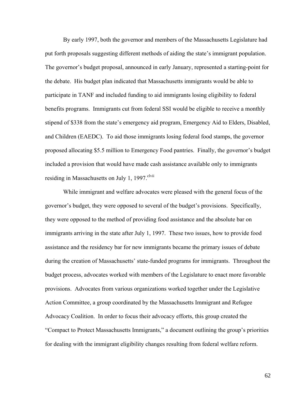By early 1997, both the governor and members of the Massachusetts Legislature had put forth proposals suggesting different methods of aiding the state's immigrant population. The governor's budget proposal, announced in early January, represented a starting-point for the debate. His budget plan indicated that Massachusetts immigrants would be able to participate in TANF and included funding to aid immigrants losing eligibility to federal benefits programs. Immigrants cut from federal SSI would be eligible to receive a monthly stipend of \$338 from the state's emergency aid program, Emergency Aid to Elders, Disabled, and Children (EAEDC). To aid those immigrants losing federal food stamps, the governor proposed allocating \$5.5 million to Emergency Food pantries. Finally, the governor's budget included a provision that would have made cash assistance available only to immigrants residing in Massachusetts on July 1, 1997.<sup>clvii</sup>

While immigrant and welfare advocates were pleased with the general focus of the governor's budget, they were opposed to several of the budget's provisions. Specifically, they were opposed to the method of providing food assistance and the absolute bar on immigrants arriving in the state after July 1, 1997. These two issues, how to provide food assistance and the residency bar for new immigrants became the primary issues of debate during the creation of Massachusetts' state-funded programs for immigrants. Throughout the budget process, advocates worked with members of the Legislature to enact more favorable provisions. Advocates from various organizations worked together under the Legislative Action Committee, a group coordinated by the Massachusetts Immigrant and Refugee Advocacy Coalition. In order to focus their advocacy efforts, this group created the "Compact to Protect Massachusetts Immigrants," a document outlining the group's priorities for dealing with the immigrant eligibility changes resulting from federal welfare reform.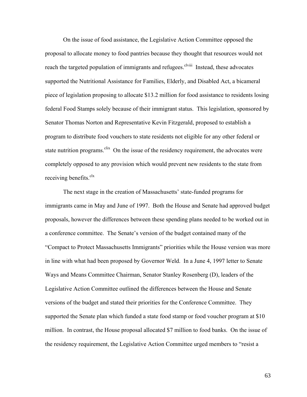On the issue of food assistance, the Legislative Action Committee opposed the proposal to allocate money to food pantries because they thought that resources would not reach the targeted population of immigrants and refugees.<sup>clviii</sup> Instead, these advocates supported the Nutritional Assistance for Families, Elderly, and Disabled Act, a bicameral piece of legislation proposing to allocate \$13.2 million for food assistance to residents losing federal Food Stamps solely because of their immigrant status. This legislation, sponsored by Senator Thomas Norton and Representative Kevin Fitzgerald, proposed to establish a program to distribute food vouchers to state residents not eligible for any other federal or state nutrition programs.<sup>clix</sup> On the issue of the residency requirement, the advocates were completely opposed to any provision which would prevent new residents to the state from receiving benefits.<sup>clx</sup>

 The next stage in the creation of Massachusetts' state-funded programs for immigrants came in May and June of 1997. Both the House and Senate had approved budget proposals, however the differences between these spending plans needed to be worked out in a conference committee. The Senate's version of the budget contained many of the "Compact to Protect Massachusetts Immigrants" priorities while the House version was more in line with what had been proposed by Governor Weld. In a June 4, 1997 letter to Senate Ways and Means Committee Chairman, Senator Stanley Rosenberg (D), leaders of the Legislative Action Committee outlined the differences between the House and Senate versions of the budget and stated their priorities for the Conference Committee. They supported the Senate plan which funded a state food stamp or food voucher program at \$10 million. In contrast, the House proposal allocated \$7 million to food banks. On the issue of the residency requirement, the Legislative Action Committee urged members to "resist a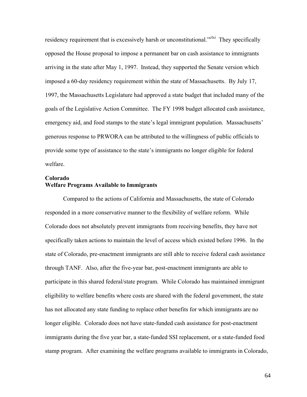residency requirement that is excessively harsh or unconstitutional.<sup>"clxi</sup> They specifically opposed the House proposal to impose a permanent bar on cash assistance to immigrants arriving in the state after May 1, 1997. Instead, they supported the Senate version which imposed a 60-day residency requirement within the state of Massachusetts. By July 17, 1997, the Massachusetts Legislature had approved a state budget that included many of the goals of the Legislative Action Committee. The FY 1998 budget allocated cash assistance, emergency aid, and food stamps to the state's legal immigrant population. Massachusetts' generous response to PRWORA can be attributed to the willingness of public officials to provide some type of assistance to the state's immigrants no longer eligible for federal welfare.

## **Colorado Welfare Programs Available to Immigrants**

Compared to the actions of California and Massachusetts, the state of Colorado responded in a more conservative manner to the flexibility of welfare reform. While Colorado does not absolutely prevent immigrants from receiving benefits, they have not specifically taken actions to maintain the level of access which existed before 1996. In the state of Colorado, pre-enactment immigrants are still able to receive federal cash assistance through TANF. Also, after the five-year bar, post-enactment immigrants are able to participate in this shared federal/state program. While Colorado has maintained immigrant eligibility to welfare benefits where costs are shared with the federal government, the state has not allocated any state funding to replace other benefits for which immigrants are no longer eligible. Colorado does not have state-funded cash assistance for post-enactment immigrants during the five year bar, a state-funded SSI replacement, or a state-funded food stamp program. After examining the welfare programs available to immigrants in Colorado,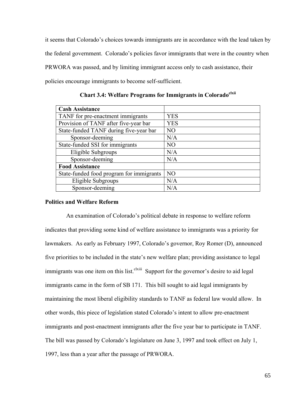it seems that Colorado's choices towards immigrants are in accordance with the lead taken by the federal government. Colorado's policies favor immigrants that were in the country when PRWORA was passed, and by limiting immigrant access only to cash assistance, their policies encourage immigrants to become self-sufficient.

| <b>Cash Assistance</b>                   |                |
|------------------------------------------|----------------|
| TANF for pre-enactment immigrants        | <b>YES</b>     |
| Provision of TANF after five-year bar    | <b>YES</b>     |
| State-funded TANF during five-year bar   | N <sub>O</sub> |
| Sponsor-deeming                          | N/A            |
| State-funded SSI for immigrants          | N <sub>O</sub> |
| Eligible Subgroups                       | N/A            |
| Sponsor-deeming                          | N/A            |
| <b>Food Assistance</b>                   |                |
| State-funded food program for immigrants | N <sub>O</sub> |
| Eligible Subgroups                       | N/A            |
| Sponsor-deeming                          | N/A            |

**Chart 3.4: Welfare Programs for Immigrants in Colorado**<sup>clxii</sup>

## **Politics and Welfare Reform**

 An examination of Colorado's political debate in response to welfare reform indicates that providing some kind of welfare assistance to immigrants was a priority for lawmakers. As early as February 1997, Colorado's governor, Roy Romer (D), announced five priorities to be included in the state's new welfare plan; providing assistance to legal immigrants was one item on this list.<sup>clxiii</sup> Support for the governor's desire to aid legal immigrants came in the form of SB 171. This bill sought to aid legal immigrants by maintaining the most liberal eligibility standards to TANF as federal law would allow. In other words, this piece of legislation stated Colorado's intent to allow pre-enactment immigrants and post-enactment immigrants after the five year bar to participate in TANF. The bill was passed by Colorado's legislature on June 3, 1997 and took effect on July 1, 1997, less than a year after the passage of PRWORA.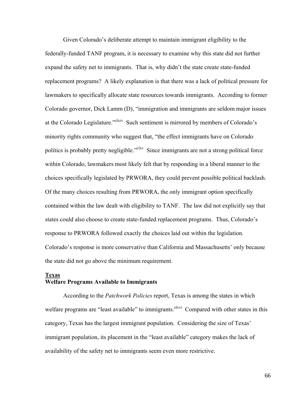Given Colorado's deliberate attempt to maintain immigrant eligibility to the federally-funded TANF program, it is necessary to examine why this state did not further expand the safety net to immigrants. That is, why didn't the state create state-funded replacement programs? A likely explanation is that there was a lack of political pressure for lawmakers to specifically allocate state resources towards immigrants. According to former Colorado governor, Dick Lamm (D), "immigration and immigrants are seldom major issues at the Colorado Legislature."<sup>clxiv</sup> Such sentiment is mirrored by members of Colorado's minority rights community who suggest that, "the effect immigrants have on Colorado politics is probably pretty negligible."<sup>clxv</sup> Since immigrants are not a strong political force within Colorado, lawmakers most likely felt that by responding in a liberal manner to the choices specifically legislated by PRWORA, they could prevent possible political backlash. Of the many choices resulting from PRWORA, the only immigrant option specifically contained within the law dealt with eligibility to TANF. The law did not explicitly say that states could also choose to create state-funded replacement programs. Thus, Colorado's response to PRWORA followed exactly the choices laid out within the legislation. Colorado's response is more conservative than California and Massachusetts' only because the state did not go above the minimum requirement.

## **Texas Welfare Programs Available to Immigrants**

 According to the *Patchwork Policies* report, Texas is among the states in which welfare programs are "least available" to immigrants.<sup>clxvi</sup> Compared with other states in this category, Texas has the largest immigrant population. Considering the size of Texas' immigrant population, its placement in the "least available" category makes the lack of availability of the safety net to immigrants seem even more restrictive.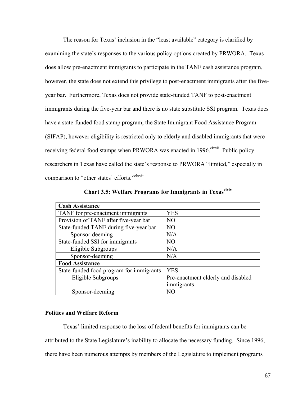The reason for Texas' inclusion in the "least available" category is clarified by examining the state's responses to the various policy options created by PRWORA. Texas does allow pre-enactment immigrants to participate in the TANF cash assistance program, however, the state does not extend this privilege to post-enactment immigrants after the fiveyear bar. Furthermore, Texas does not provide state-funded TANF to post-enactment immigrants during the five-year bar and there is no state substitute SSI program. Texas does have a state-funded food stamp program, the State Immigrant Food Assistance Program (SIFAP), however eligibility is restricted only to elderly and disabled immigrants that were receiving federal food stamps when PRWORA was enacted in 1996.<sup>clxvii</sup> Public policy researchers in Texas have called the state's response to PRWORA "limited," especially in comparison to "other states' efforts."<sup>clxviii</sup>

| <b>Cash Assistance</b>                   |                                    |
|------------------------------------------|------------------------------------|
| TANF for pre-enactment immigrants        | <b>YES</b>                         |
| Provision of TANF after five-year bar    | NO                                 |
| State-funded TANF during five-year bar   | NO                                 |
| Sponsor-deeming                          | N/A                                |
| State-funded SSI for immigrants          | N <sub>O</sub>                     |
| Eligible Subgroups                       | N/A                                |
| Sponsor-deeming                          | N/A                                |
| <b>Food Assistance</b>                   |                                    |
| State-funded food program for immigrants | <b>YES</b>                         |
| Eligible Subgroups                       | Pre-enactment elderly and disabled |
|                                          | immigrants                         |
| Sponsor-deeming                          | NO                                 |

**Chart 3.5: Welfare Programs for Immigrants in Texasclxix** 

## **Politics and Welfare Reform**

Texas' limited response to the loss of federal benefits for immigrants can be attributed to the State Legislature's inability to allocate the necessary funding. Since 1996, there have been numerous attempts by members of the Legislature to implement programs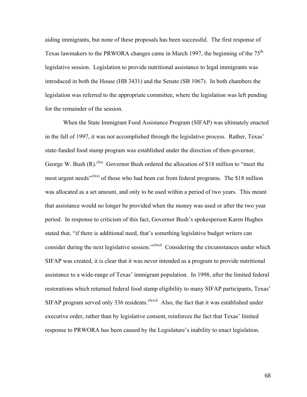aiding immigrants, but none of these proposals has been successful. The first response of Texas lawmakers to the PRWORA changes came in March 1997, the beginning of the 75<sup>th</sup> legislative session. Legislation to provide nutritional assistance to legal immigrants was introduced in both the House (HB 3431) and the Senate (SB 1067). In both chambers the legislation was referred to the appropriate committee, where the legislation was left pending for the remainder of the session.

When the State Immigrant Food Assistance Program (SIFAP) was ultimately enacted in the fall of 1997, it was not accomplished through the legislative process. Rather, Texas' state-funded food stamp program was established under the direction of then-governor, George W. Bush  $(R)$ .<sup>clxx</sup> Governor Bush ordered the allocation of \$18 million to "meet the most urgent needs<sup>"clxxi</sup> of those who had been cut from federal programs. The \$18 million was allocated as a set amount, and only to be used within a period of two years. This meant that assistance would no longer be provided when the money was used or after the two year period. In response to criticism of this fact, Governor Bush's spokesperson Karen Hughes stated that, "if there is additional need, that's something legislative budget writers can consider during the next legislative session."<sup>clxxii</sup> Considering the circumstances under which SIFAP was created, it is clear that it was never intended as a program to provide nutritional assistance to a wide-range of Texas' immigrant population. In 1998, after the limited federal restorations which returned federal food stamp eligibility to many SIFAP participants, Texas' SIFAP program served only 336 residents.<sup>clxxiii</sup> Also, the fact that it was established under executive order, rather than by legislative consent, reinforces the fact that Texas' limited response to PRWORA has been caused by the Legislature's inability to enact legislation.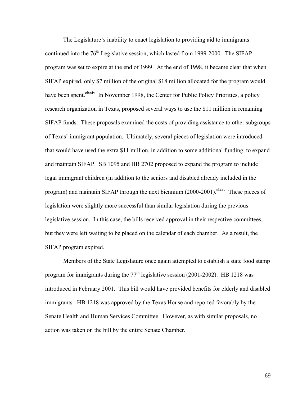The Legislature's inability to enact legislation to providing aid to immigrants continued into the  $76<sup>th</sup>$  Legislative session, which lasted from 1999-2000. The SIFAP program was set to expire at the end of 1999. At the end of 1998, it became clear that when SIFAP expired, only \$7 million of the original \$18 million allocated for the program would have been spent.<sup>clxxiv</sup> In November 1998, the Center for Public Policy Priorities, a policy research organization in Texas, proposed several ways to use the \$11 million in remaining SIFAP funds. These proposals examined the costs of providing assistance to other subgroups of Texas' immigrant population. Ultimately, several pieces of legislation were introduced that would have used the extra \$11 million, in addition to some additional funding, to expand and maintain SIFAP. SB 1095 and HB 2702 proposed to expand the program to include legal immigrant children (in addition to the seniors and disabled already included in the program) and maintain SIFAP through the next biennium  $(2000-2001)$ <sup>clxxv</sup> These pieces of legislation were slightly more successful than similar legislation during the previous legislative session. In this case, the bills received approval in their respective committees, but they were left waiting to be placed on the calendar of each chamber. As a result, the SIFAP program expired.

Members of the State Legislature once again attempted to establish a state food stamp program for immigrants during the  $77<sup>th</sup>$  legislative session (2001-2002). HB 1218 was introduced in February 2001. This bill would have provided benefits for elderly and disabled immigrants. HB 1218 was approved by the Texas House and reported favorably by the Senate Health and Human Services Committee. However, as with similar proposals, no action was taken on the bill by the entire Senate Chamber.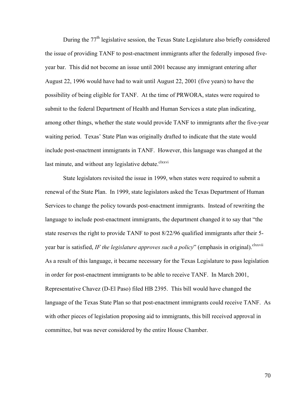During the 77<sup>th</sup> legislative session, the Texas State Legislature also briefly considered the issue of providing TANF to post-enactment immigrants after the federally imposed fiveyear bar. This did not become an issue until 2001 because any immigrant entering after August 22, 1996 would have had to wait until August 22, 2001 (five years) to have the possibility of being eligible for TANF. At the time of PRWORA, states were required to submit to the federal Department of Health and Human Services a state plan indicating, among other things, whether the state would provide TANF to immigrants after the five-year waiting period. Texas' State Plan was originally drafted to indicate that the state would include post-enactment immigrants in TANF. However, this language was changed at the last minute, and without any legislative debate. $c<sup>lxxvi</sup>$ 

State legislators revisited the issue in 1999, when states were required to submit a renewal of the State Plan. In 1999, state legislators asked the Texas Department of Human Services to change the policy towards post-enactment immigrants. Instead of rewriting the language to include post-enactment immigrants, the department changed it to say that "the state reserves the right to provide TANF to post 8/22/96 qualified immigrants after their 5 year bar is satisfied, *IF the legislature approves such a policy*" (emphasis in original).<sup>clxxvii</sup> As a result of this language, it became necessary for the Texas Legislature to pass legislation in order for post-enactment immigrants to be able to receive TANF. In March 2001, Representative Chavez (D-El Paso) filed HB 2395. This bill would have changed the language of the Texas State Plan so that post-enactment immigrants could receive TANF. As with other pieces of legislation proposing aid to immigrants, this bill received approval in committee, but was never considered by the entire House Chamber.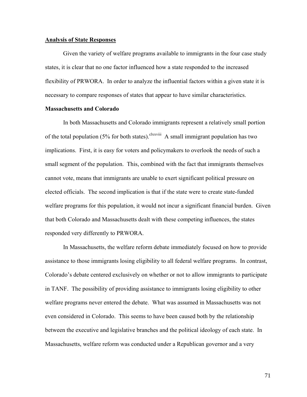#### **Analysis of State Responses**

 Given the variety of welfare programs available to immigrants in the four case study states, it is clear that no one factor influenced how a state responded to the increased flexibility of PRWORA. In order to analyze the influential factors within a given state it is necessary to compare responses of states that appear to have similar characteristics.

### **Massachusetts and Colorado**

 In both Massachusetts and Colorado immigrants represent a relatively small portion of the total population (5% for both states).<sup>clxxviii</sup> A small immigrant population has two implications. First, it is easy for voters and policymakers to overlook the needs of such a small segment of the population. This, combined with the fact that immigrants themselves cannot vote, means that immigrants are unable to exert significant political pressure on elected officials. The second implication is that if the state were to create state-funded welfare programs for this population, it would not incur a significant financial burden. Given that both Colorado and Massachusetts dealt with these competing influences, the states responded very differently to PRWORA.

 In Massachusetts, the welfare reform debate immediately focused on how to provide assistance to those immigrants losing eligibility to all federal welfare programs. In contrast, Colorado's debate centered exclusively on whether or not to allow immigrants to participate in TANF. The possibility of providing assistance to immigrants losing eligibility to other welfare programs never entered the debate. What was assumed in Massachusetts was not even considered in Colorado. This seems to have been caused both by the relationship between the executive and legislative branches and the political ideology of each state. In Massachusetts, welfare reform was conducted under a Republican governor and a very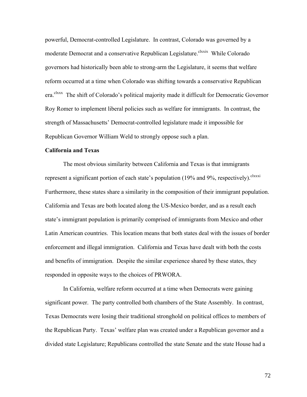powerful, Democrat-controlled Legislature. In contrast, Colorado was governed by a moderate Democrat and a conservative Republican Legislature.<sup>clxxix</sup> While Colorado governors had historically been able to strong-arm the Legislature, it seems that welfare reform occurred at a time when Colorado was shifting towards a conservative Republican era.<sup>clxxx</sup> The shift of Colorado's political majority made it difficult for Democratic Governor Roy Romer to implement liberal policies such as welfare for immigrants. In contrast, the strength of Massachusetts' Democrat-controlled legislature made it impossible for Republican Governor William Weld to strongly oppose such a plan.

# **California and Texas**

 The most obvious similarity between California and Texas is that immigrants represent a significant portion of each state's population (19% and 9%, respectively).<sup>clxxxi</sup> Furthermore, these states share a similarity in the composition of their immigrant population. California and Texas are both located along the US-Mexico border, and as a result each state's immigrant population is primarily comprised of immigrants from Mexico and other Latin American countries. This location means that both states deal with the issues of border enforcement and illegal immigration. California and Texas have dealt with both the costs and benefits of immigration. Despite the similar experience shared by these states, they responded in opposite ways to the choices of PRWORA.

In California, welfare reform occurred at a time when Democrats were gaining significant power. The party controlled both chambers of the State Assembly. In contrast, Texas Democrats were losing their traditional stronghold on political offices to members of the Republican Party. Texas' welfare plan was created under a Republican governor and a divided state Legislature; Republicans controlled the state Senate and the state House had a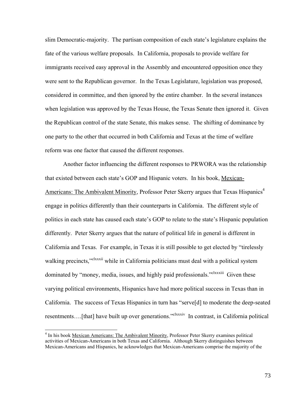slim Democratic-majority. The partisan composition of each state's legislature explains the fate of the various welfare proposals. In California, proposals to provide welfare for immigrants received easy approval in the Assembly and encountered opposition once they were sent to the Republican governor. In the Texas Legislature, legislation was proposed, considered in committee, and then ignored by the entire chamber. In the several instances when legislation was approved by the Texas House, the Texas Senate then ignored it. Given the Republican control of the state Senate, this makes sense. The shifting of dominance by one party to the other that occurred in both California and Texas at the time of welfare reform was one factor that caused the different responses.

 Another factor influencing the different responses to PRWORA was the relationship that existed between each state's GOP and Hispanic voters. In his book, Mexican-Americans: The Ambivalent Minority, Professor Peter Skerry argues that Texas Hispanics<sup>4</sup> engage in politics differently than their counterparts in California. The different style of politics in each state has caused each state's GOP to relate to the state's Hispanic population differently. Peter Skerry argues that the nature of political life in general is different in California and Texas. For example, in Texas it is still possible to get elected by "tirelessly walking precincts,<sup>"clxxxii</sup> while in California politicians must deal with a political system dominated by "money, media, issues, and highly paid professionals."<sup>clxxxiii</sup> Given these varying political environments, Hispanics have had more political success in Texas than in California. The success of Texas Hispanics in turn has "serve[d] to moderate the deep-seated resentments....[that] have built up over generations."<sup>clxxxiv</sup> In contrast, in California political

<sup>&</sup>lt;sup>4</sup> In his book <u>Mexican Americans: The Ambivalent Minority</u>, Professor Peter Skerry examines political activities of Mexican-Americans in both Texas and California. Although Skerry distinguishes between Mexican-Americans and Hispanics, he acknowledges that Mexican-Americans comprise the majority of the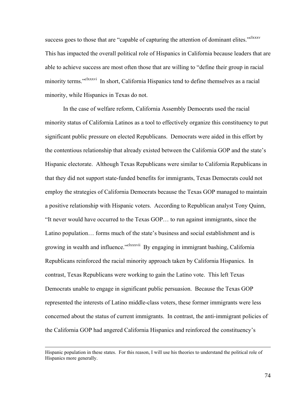success goes to those that are "capable of capturing the attention of dominant elites."<sup>clxxxv</sup> This has impacted the overall political role of Hispanics in California because leaders that are able to achieve success are most often those that are willing to "define their group in racial minority terms."<sup>clxxxvi</sup> In short, California Hispanics tend to define themselves as a racial minority, while Hispanics in Texas do not.

 In the case of welfare reform, California Assembly Democrats used the racial minority status of California Latinos as a tool to effectively organize this constituency to put significant public pressure on elected Republicans. Democrats were aided in this effort by the contentious relationship that already existed between the California GOP and the state's Hispanic electorate. Although Texas Republicans were similar to California Republicans in that they did not support state-funded benefits for immigrants, Texas Democrats could not employ the strategies of California Democrats because the Texas GOP managed to maintain a positive relationship with Hispanic voters. According to Republican analyst Tony Quinn, "It never would have occurred to the Texas GOP… to run against immigrants, since the Latino population… forms much of the state's business and social establishment and is growing in wealth and influence.<sup>"clxxxvii</sup> By engaging in immigrant bashing, California Republicans reinforced the racial minority approach taken by California Hispanics. In contrast, Texas Republicans were working to gain the Latino vote. This left Texas Democrats unable to engage in significant public persuasion. Because the Texas GOP represented the interests of Latino middle-class voters, these former immigrants were less concerned about the status of current immigrants. In contrast, the anti-immigrant policies of the California GOP had angered California Hispanics and reinforced the constituency's

 $\overline{\phantom{a}}$ 

Hispanic population in these states. For this reason, I will use his theories to understand the political role of Hispanics more generally.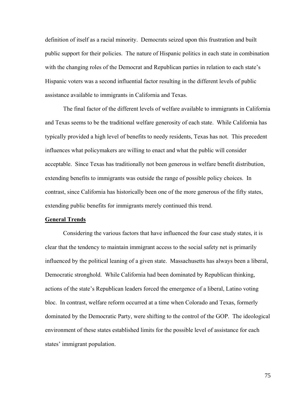definition of itself as a racial minority. Democrats seized upon this frustration and built public support for their policies. The nature of Hispanic politics in each state in combination with the changing roles of the Democrat and Republican parties in relation to each state's Hispanic voters was a second influential factor resulting in the different levels of public assistance available to immigrants in California and Texas.

 The final factor of the different levels of welfare available to immigrants in California and Texas seems to be the traditional welfare generosity of each state. While California has typically provided a high level of benefits to needy residents, Texas has not. This precedent influences what policymakers are willing to enact and what the public will consider acceptable. Since Texas has traditionally not been generous in welfare benefit distribution, extending benefits to immigrants was outside the range of possible policy choices. In contrast, since California has historically been one of the more generous of the fifty states, extending public benefits for immigrants merely continued this trend.

#### **General Trends**

 Considering the various factors that have influenced the four case study states, it is clear that the tendency to maintain immigrant access to the social safety net is primarily influenced by the political leaning of a given state. Massachusetts has always been a liberal, Democratic stronghold. While California had been dominated by Republican thinking, actions of the state's Republican leaders forced the emergence of a liberal, Latino voting bloc. In contrast, welfare reform occurred at a time when Colorado and Texas, formerly dominated by the Democratic Party, were shifting to the control of the GOP. The ideological environment of these states established limits for the possible level of assistance for each states' immigrant population.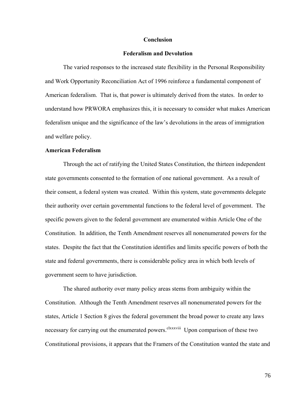#### **Conclusion**

## **Federalism and Devolution**

 The varied responses to the increased state flexibility in the Personal Responsibility and Work Opportunity Reconciliation Act of 1996 reinforce a fundamental component of American federalism. That is, that power is ultimately derived from the states. In order to understand how PRWORA emphasizes this, it is necessary to consider what makes American federalism unique and the significance of the law's devolutions in the areas of immigration and welfare policy.

# **American Federalism**

Through the act of ratifying the United States Constitution, the thirteen independent state governments consented to the formation of one national government. As a result of their consent, a federal system was created. Within this system, state governments delegate their authority over certain governmental functions to the federal level of government. The specific powers given to the federal government are enumerated within Article One of the Constitution. In addition, the Tenth Amendment reserves all nonenumerated powers for the states. Despite the fact that the Constitution identifies and limits specific powers of both the state and federal governments, there is considerable policy area in which both levels of government seem to have jurisdiction.

The shared authority over many policy areas stems from ambiguity within the Constitution. Although the Tenth Amendment reserves all nonenumerated powers for the states, Article 1 Section 8 gives the federal government the broad power to create any laws necessary for carrying out the enumerated powers.<sup>clxxxviii</sup> Upon comparison of these two Constitutional provisions, it appears that the Framers of the Constitution wanted the state and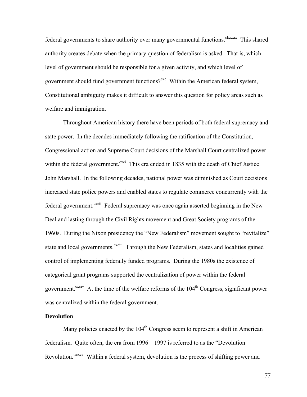federal governments to share authority over many governmental functions.<sup>clxxxix</sup> This shared authority creates debate when the primary question of federalism is asked. That is, which level of government should be responsible for a given activity, and which level of government should fund government functions?<sup>cxc</sup> Within the American federal system, Constitutional ambiguity makes it difficult to answer this question for policy areas such as welfare and immigration.

Throughout American history there have been periods of both federal supremacy and state power. In the decades immediately following the ratification of the Constitution, Congressional action and Supreme Court decisions of the Marshall Court centralized power within the federal government.<sup>cxci</sup> This era ended in 1835 with the death of Chief Justice John Marshall. In the following decades, national power was diminished as Court decisions increased state police powers and enabled states to regulate commerce concurrently with the federal government.<sup>cxcii</sup> Federal supremacy was once again asserted beginning in the New Deal and lasting through the Civil Rights movement and Great Society programs of the 1960s. During the Nixon presidency the "New Federalism" movement sought to "revitalize" state and local governments.<sup>cxciii</sup> Through the New Federalism, states and localities gained control of implementing federally funded programs. During the 1980s the existence of categorical grant programs supported the centralization of power within the federal government.<sup>cxciv</sup> At the time of the welfare reforms of the  $104<sup>th</sup>$  Congress, significant power was centralized within the federal government.

# **Devolution**

Many policies enacted by the  $104<sup>th</sup>$  Congress seem to represent a shift in American federalism. Quite often, the era from 1996 – 1997 is referred to as the "Devolution Revolution."<sup>cxcv</sup> Within a federal system, devolution is the process of shifting power and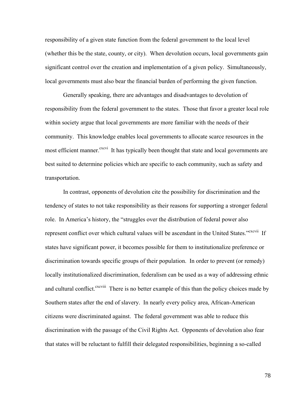responsibility of a given state function from the federal government to the local level (whether this be the state, county, or city). When devolution occurs, local governments gain significant control over the creation and implementation of a given policy. Simultaneously, local governments must also bear the financial burden of performing the given function.

 Generally speaking, there are advantages and disadvantages to devolution of responsibility from the federal government to the states. Those that favor a greater local role within society argue that local governments are more familiar with the needs of their community. This knowledge enables local governments to allocate scarce resources in the most efficient manner.<sup>cxcvi</sup> It has typically been thought that state and local governments are best suited to determine policies which are specific to each community, such as safety and transportation.

 In contrast, opponents of devolution cite the possibility for discrimination and the tendency of states to not take responsibility as their reasons for supporting a stronger federal role. In America's history, the "struggles over the distribution of federal power also represent conflict over which cultural values will be ascendant in the United States."<sup>cxcvii</sup> If states have significant power, it becomes possible for them to institutionalize preference or discrimination towards specific groups of their population. In order to prevent (or remedy) locally institutionalized discrimination, federalism can be used as a way of addressing ethnic and cultural conflict.<sup>cxcviii</sup> There is no better example of this than the policy choices made by Southern states after the end of slavery. In nearly every policy area, African-American citizens were discriminated against. The federal government was able to reduce this discrimination with the passage of the Civil Rights Act. Opponents of devolution also fear that states will be reluctant to fulfill their delegated responsibilities, beginning a so-called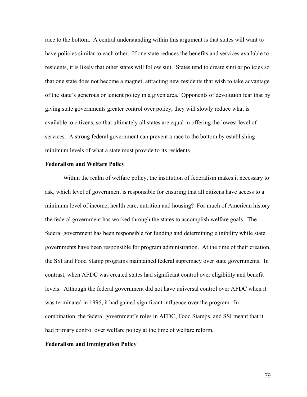race to the bottom. A central understanding within this argument is that states will want to have policies similar to each other. If one state reduces the benefits and services available to residents, it is likely that other states will follow suit. States tend to create similar policies so that one state does not become a magnet, attracting new residents that wish to take advantage of the state's generous or lenient policy in a given area. Opponents of devolution fear that by giving state governments greater control over policy, they will slowly reduce what is available to citizens, so that ultimately all states are equal in offering the lowest level of services. A strong federal government can prevent a race to the bottom by establishing minimum levels of what a state must provide to its residents.

# **Federalism and Welfare Policy**

Within the realm of welfare policy, the institution of federalism makes it necessary to ask, which level of government is responsible for ensuring that all citizens have access to a minimum level of income, health care, nutrition and housing? For much of American history the federal government has worked through the states to accomplish welfare goals. The federal government has been responsible for funding and determining eligibility while state governments have been responsible for program administration. At the time of their creation, the SSI and Food Stamp programs maintained federal supremacy over state governments. In contrast, when AFDC was created states had significant control over eligibility and benefit levels. Although the federal government did not have universal control over AFDC when it was terminated in 1996, it had gained significant influence over the program. In combination, the federal government's roles in AFDC, Food Stamps, and SSI meant that it had primary control over welfare policy at the time of welfare reform.

#### **Federalism and Immigration Policy**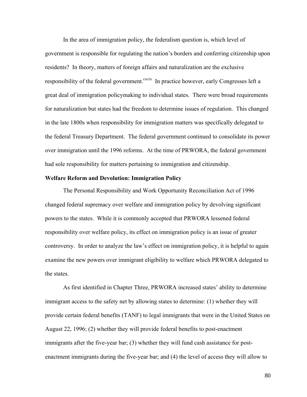In the area of immigration policy, the federalism question is, which level of government is responsible for regulating the nation's borders and conferring citizenship upon residents? In theory, matters of foreign affairs and naturalization are the exclusive responsibility of the federal government.<sup>cxcix</sup> In practice however, early Congresses left a great deal of immigration policymaking to individual states. There were broad requirements for naturalization but states had the freedom to determine issues of regulation. This changed in the late 1800s when responsibility for immigration matters was specifically delegated to the federal Treasury Department. The federal government continued to consolidate its power over immigration until the 1996 reforms. At the time of PRWORA, the federal government had sole responsibility for matters pertaining to immigration and citizenship.

#### **Welfare Reform and Devolution: Immigration Policy**

 The Personal Responsibility and Work Opportunity Reconciliation Act of 1996 changed federal supremacy over welfare and immigration policy by devolving significant powers to the states. While it is commonly accepted that PRWORA lessened federal responsibility over welfare policy, its effect on immigration policy is an issue of greater controversy. In order to analyze the law's effect on immigration policy, it is helpful to again examine the new powers over immigrant eligibility to welfare which PRWORA delegated to the states.

As first identified in Chapter Three, PRWORA increased states' ability to determine immigrant access to the safety net by allowing states to determine: (1) whether they will provide certain federal benefits (TANF) to legal immigrants that were in the United States on August 22, 1996; (2) whether they will provide federal benefits to post-enactment immigrants after the five-year bar; (3) whether they will fund cash assistance for postenactment immigrants during the five-year bar; and (4) the level of access they will allow to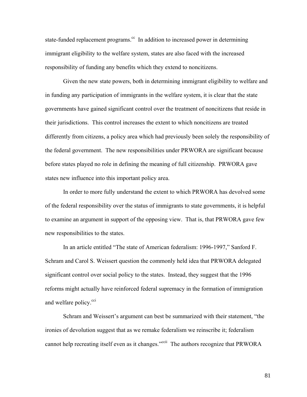state-funded replacement programs.<sup>cc</sup> In addition to increased power in determining immigrant eligibility to the welfare system, states are also faced with the increased responsibility of funding any benefits which they extend to noncitizens.

Given the new state powers, both in determining immigrant eligibility to welfare and in funding any participation of immigrants in the welfare system, it is clear that the state governments have gained significant control over the treatment of noncitizens that reside in their jurisdictions. This control increases the extent to which noncitizens are treated differently from citizens, a policy area which had previously been solely the responsibility of the federal government. The new responsibilities under PRWORA are significant because before states played no role in defining the meaning of full citizenship. PRWORA gave states new influence into this important policy area.

In order to more fully understand the extent to which PRWORA has devolved some of the federal responsibility over the status of immigrants to state governments, it is helpful to examine an argument in support of the opposing view. That is, that PRWORA gave few new responsibilities to the states.

In an article entitled "The state of American federalism: 1996-1997," Sanford F. Schram and Carol S. Weissert question the commonly held idea that PRWORA delegated significant control over social policy to the states. Instead, they suggest that the 1996 reforms might actually have reinforced federal supremacy in the formation of immigration and welfare policy.<sup>cci</sup>

Schram and Weissert's argument can best be summarized with their statement, "the ironies of devolution suggest that as we remake federalism we reinscribe it; federalism cannot help recreating itself even as it changes."<sup>ccii</sup> The authors recognize that PRWORA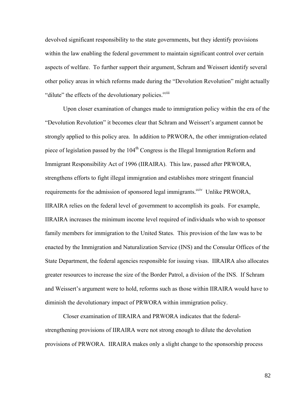devolved significant responsibility to the state governments, but they identify provisions within the law enabling the federal government to maintain significant control over certain aspects of welfare. To further support their argument, Schram and Weissert identify several other policy areas in which reforms made during the "Devolution Revolution" might actually "dilute" the effects of the devolutionary policies.<sup>cciii</sup>

Upon closer examination of changes made to immigration policy within the era of the "Devolution Revolution" it becomes clear that Schram and Weissert's argument cannot be strongly applied to this policy area. In addition to PRWORA, the other immigration-related piece of legislation passed by the 104<sup>th</sup> Congress is the Illegal Immigration Reform and Immigrant Responsibility Act of 1996 (IIRAIRA). This law, passed after PRWORA, strengthens efforts to fight illegal immigration and establishes more stringent financial requirements for the admission of sponsored legal immigrants.<sup>cciv</sup> Unlike PRWORA, IIRAIRA relies on the federal level of government to accomplish its goals. For example, IIRAIRA increases the minimum income level required of individuals who wish to sponsor family members for immigration to the United States. This provision of the law was to be enacted by the Immigration and Naturalization Service (INS) and the Consular Offices of the State Department, the federal agencies responsible for issuing visas. IIRAIRA also allocates greater resources to increase the size of the Border Patrol, a division of the INS. If Schram and Weissert's argument were to hold, reforms such as those within IIRAIRA would have to diminish the devolutionary impact of PRWORA within immigration policy.

Closer examination of IIRAIRA and PRWORA indicates that the federalstrengthening provisions of IIRAIRA were not strong enough to dilute the devolution provisions of PRWORA. IIRAIRA makes only a slight change to the sponsorship process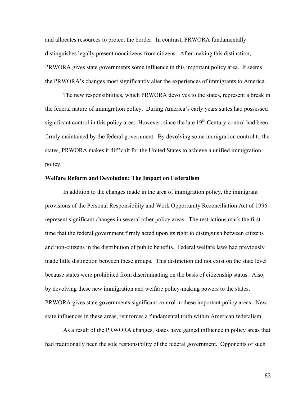and allocates resources to protect the border. In contrast, PRWORA fundamentally distinguishes legally present noncitizens from citizens. After making this distinction, PRWORA gives state governments some influence in this important policy area. It seems the PRWORA's changes most significantly alter the experiences of immigrants to America.

The new responsibilities, which PRWORA devolves to the states, represent a break in the federal nature of immigration policy. During America's early years states had possessed significant control in this policy area. However, since the late  $19<sup>th</sup>$  Century control had been firmly maintained by the federal government. By devolving some immigration control to the states, PRWORA makes it difficult for the United States to achieve a unified immigration policy.

## **Welfare Reform and Devolution: The Impact on Federalism**

 In addition to the changes made in the area of immigration policy, the immigrant provisions of the Personal Responsibility and Work Opportunity Reconciliation Act of 1996 represent significant changes in several other policy areas. The restrictions mark the first time that the federal government firmly acted upon its right to distinguish between citizens and non-citizens in the distribution of public benefits. Federal welfare laws had previously made little distinction between these groups. This distinction did not exist on the state level because states were prohibited from discriminating on the basis of citizenship status. Also, by devolving these new immigration and welfare policy-making powers to the states, PRWORA gives state governments significant control in these important policy areas. New state influences in these areas, reinforces a fundamental truth within American federalism.

 As a result of the PRWORA changes, states have gained influence in policy areas that had traditionally been the sole responsibility of the federal government. Opponents of such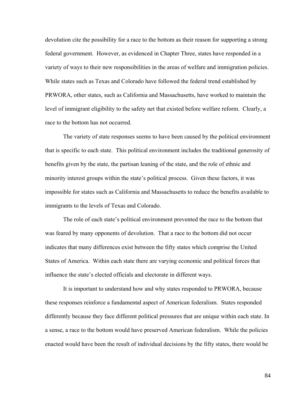devolution cite the possibility for a race to the bottom as their reason for supporting a strong federal government. However, as evidenced in Chapter Three, states have responded in a variety of ways to their new responsibilities in the areas of welfare and immigration policies. While states such as Texas and Colorado have followed the federal trend established by PRWORA, other states, such as California and Massachusetts, have worked to maintain the level of immigrant eligibility to the safety net that existed before welfare reform. Clearly, a race to the bottom has not occurred.

 The variety of state responses seems to have been caused by the political environment that is specific to each state. This political environment includes the traditional generosity of benefits given by the state, the partisan leaning of the state, and the role of ethnic and minority interest groups within the state's political process. Given these factors, it was impossible for states such as California and Massachusetts to reduce the benefits available to immigrants to the levels of Texas and Colorado.

 The role of each state's political environment prevented the race to the bottom that was feared by many opponents of devolution. That a race to the bottom did not occur indicates that many differences exist between the fifty states which comprise the United States of America. Within each state there are varying economic and political forces that influence the state's elected officials and electorate in different ways.

 It is important to understand how and why states responded to PRWORA, because these responses reinforce a fundamental aspect of American federalism. States responded differently because they face different political pressures that are unique within each state. In a sense, a race to the bottom would have preserved American federalism. While the policies enacted would have been the result of individual decisions by the fifty states, there would be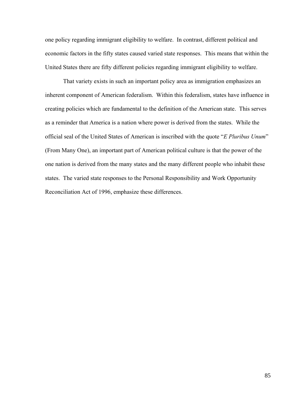one policy regarding immigrant eligibility to welfare. In contrast, different political and economic factors in the fifty states caused varied state responses. This means that within the United States there are fifty different policies regarding immigrant eligibility to welfare.

That variety exists in such an important policy area as immigration emphasizes an inherent component of American federalism. Within this federalism, states have influence in creating policies which are fundamental to the definition of the American state. This serves as a reminder that America is a nation where power is derived from the states. While the official seal of the United States of American is inscribed with the quote "*E Pluribus Unum*" (From Many One), an important part of American political culture is that the power of the one nation is derived from the many states and the many different people who inhabit these states. The varied state responses to the Personal Responsibility and Work Opportunity Reconciliation Act of 1996, emphasize these differences.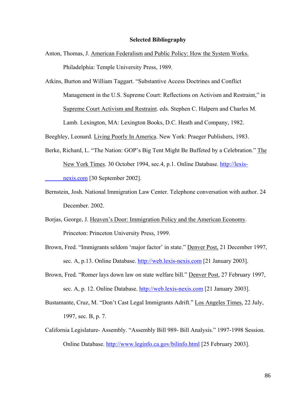## **Selected Bibliography**

- Anton, Thomas, J. American Federalism and Public Policy: How the System Works. Philadelphia: Temple University Press, 1989.
- Atkins, Burton and William Taggart. "Substantive Access Doctrines and Conflict Management in the U.S. Supreme Court: Reflections on Activism and Restraint," in Supreme Court Activism and Restraint. eds. Stephen C. Halpern and Charles M. Lamb. Lexington, MA: Lexington Books, D.C. Heath and Company, 1982.

Beeghley, Leonard. Living Poorly In America. New York: Praeger Publishers, 1983.

- Berke, Richard, L. "The Nation: GOP's Big Tent Might Be Buffeted by a Celebration." The New York Times. 30 October 1994, sec.4, p.1. Online Database. http://lexis nexis.com [30 September 2002].
- Bernstein, Josh. National Immigration Law Center. Telephone conversation with author. 24 December. 2002.
- Borjas, George, J. Heaven's Door: Immigration Policy and the American Economy. Princeton: Princeton University Press, 1999.
- Brown, Fred. "Immigrants seldom 'major factor' in state." Denver Post, 21 December 1997, sec. A, p.13. Online Database. http://web.lexis-nexis.com [21 January 2003].
- Brown, Fred. "Romer lays down law on state welfare bill." Denver Post, 27 February 1997, sec. A, p. 12. Online Database. http://web.lexis-nexis.com [21 January 2003].
- Bustamante, Cruz, M. "Don't Cast Legal Immigrants Adrift." Los Angeles Times, 22 July, 1997, sec. B, p. 7.
- California Legislature- Assembly. "Assembly Bill 989- Bill Analysis." 1997-1998 Session. Online Database. http://www.leginfo.ca.gov/bilinfo.html [25 February 2003].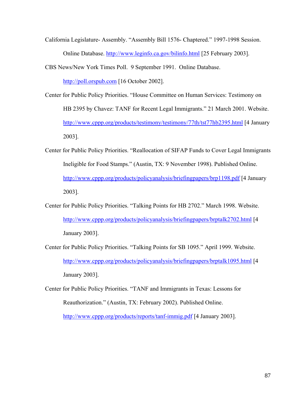California Legislature- Assembly. "Assembly Bill 1576- Chaptered." 1997-1998 Session. Online Database. http://www.leginfo.ca.gov/bilinfo.html [25 February 2003].

CBS News/New York Times Poll. 9 September 1991. Online Database.

http://poll.orspub.com [16 October 2002].

- Center for Public Policy Priorities. "House Committee on Human Services: Testimony on HB 2395 by Chavez: TANF for Recent Legal Immigrants." 21 March 2001. Website. http://www.cppp.org/products/testimony/testimony/77th/tst77hb2395.html [4 January 2003].
- Center for Public Policy Priorities. "Reallocation of SIFAP Funds to Cover Legal Immigrants Ineligible for Food Stamps." (Austin, TX: 9 November 1998). Published Online. http://www.cppp.org/products/policyanalysis/briefingpapers/brp1198.pdf [4 January 2003].
- Center for Public Policy Priorities. "Talking Points for HB 2702." March 1998. Website. http://www.cppp.org/products/policyanalysis/briefingpapers/brptalk2702.html [4 January 2003].
- Center for Public Policy Priorities. "Talking Points for SB 1095." April 1999. Website. http://www.cppp.org/products/policyanalysis/briefingpapers/brptalk1095.html [4 January 2003].
- Center for Public Policy Priorities. "TANF and Immigrants in Texas: Lessons for Reauthorization." (Austin, TX: February 2002). Published Online.

http://www.cppp.org/products/reports/tanf-immig.pdf [4 January 2003].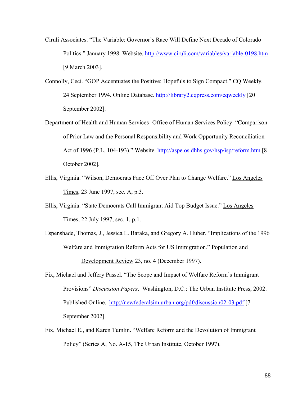- Ciruli Associates. "The Variable: Governor's Race Will Define Next Decade of Colorado Politics." January 1998. Website. http://www.ciruli.com/variables/variable-0198.htm [9 March 2003].
- Connolly, Ceci. "GOP Accentuates the Positive; Hopefuls to Sign Compact." CQ Weekly*.* 24 September 1994. Online Database. http://library2.cqpress.com/cqweekly [20 September 2002].
- Department of Health and Human Services- Office of Human Services Policy. "Comparison of Prior Law and the Personal Responsibility and Work Opportunity Reconciliation Act of 1996 (P.L. 104-193)." Website. http://aspe.os.dhhs.gov/hsp/isp/reform.htm [8 October 2002].
- Ellis, Virginia. "Wilson, Democrats Face Off Over Plan to Change Welfare." Los Angeles Times, 23 June 1997, sec. A, p.3.
- Ellis, Virginia. "State Democrats Call Immigrant Aid Top Budget Issue." Los Angeles Times, 22 July 1997, sec. 1, p.1.
- Espenshade, Thomas, J., Jessica L. Baraka, and Gregory A. Huber. "Implications of the 1996 Welfare and Immigration Reform Acts for US Immigration." Population and Development Review 23, no. 4 (December 1997).
- Fix, Michael and Jeffery Passel. "The Scope and Impact of Welfare Reform's Immigrant Provisions" *Discussion Papers*. Washington, D.C.: The Urban Institute Press, 2002. Published Online. http://newfederalsim.urban.org/pdf/discussion02-03.pdf [7] September 2002].
- Fix, Michael E., and Karen Tumlin. "Welfare Reform and the Devolution of Immigrant Policy" (Series A, No. A-15, The Urban Institute, October 1997).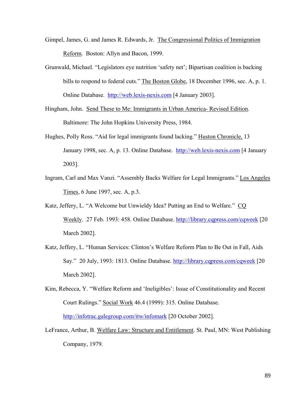- Gimpel, James, G. and James R. Edwards, Jr. The Congressional Politics of Immigration Reform. Boston: Allyn and Bacon, 1999.
- Grunwald, Michael. "Legislators eye nutrition 'safety net'; Bipartisan coalition is backing bills to respond to federal cuts." The Boston Globe, 18 December 1996, sec. A, p. 1. Online Database. http://web.lexis-nexis.com [4 January 2003].
- Hingham, John. Send These to Me: Immigrants in Urban America- Revised Edition. Baltimore: The John Hopkins University Press, 1984.
- Hughes, Polly Ross. "Aid for legal immigrants found lacking." Huston Chronicle, 13 January 1998, sec. A, p. 13. Online Database. http://web.lexis-nexis.com [4 January 2003].
- Ingram, Carl and Max Vanzi. "Assembly Backs Welfare for Legal Immigrants." Los Angeles Times, 6 June 1997, sec. A, p.3.
- Katz, Jeffery, L. "A Welcome but Unwieldy Idea? Putting an End to Welfare." CQ Weekly. 27 Feb. 1993: 458. Online Database. http://library.cqpress.com/cqweek [20 March 2002].
- Katz, Jeffery, L. "Human Services: Clinton's Welfare Reform Plan to Be Out in Fall, Aids Say." 20 July, 1993: 1813. Online Database. http://library.cqpress.com/cqweek [20 March 2002].
- Kim, Rebecca, Y. "Welfare Reform and 'Ineligibles': Issue of Constitutionality and Recent Court Rulings." Social Work 46.4 (1999): 315. Online Database. http://infotrac.galegroup.com/itw/infomark [20 October 2002].
- LeFrance, Arthur, B. Welfare Law: Structure and Entitlement. St. Paul, MN: West Publishing Company, 1979.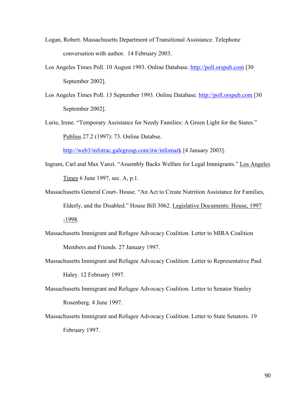- Logan, Robert. Massachusetts Department of Transitional Assistance. Telephone conversation with author. 14 February 2003.
- Los Angeles Times Poll. 10 August 1993. Online Database. http://poll.orspub.com [30 September 2002].
- Los Angeles Times Poll. 13 September 1993. Online Database. http://poll.orspub.com [30 September 2002].
- Lurie, Irene. "Temporary Assistance for Needy Families: A Green Light for the States." Publius 27.2 (1997): 73. Online Databse.

http://web3/infotrac.galegroup.com/itw/infomark [4 January 2003].

- Ingram, Carl and Max Vanzi. "Assembly Backs Welfare for Legal Immigrants." Los Angeles Times 6 June 1997, sec. A, p.1.
- Massachusetts General Court- House. "An Act to Create Nutrition Assistance for Families, Elderly, and the Disabled." House Bill 3062. Legislative Documents: House, 1997 -1998.
- Massachusetts Immigrant and Refugee Advocacy Coalition. Letter to MIRA Coalition Members and Friends. 27 January 1997.
- Massachusetts Immigrant and Refugee Advocacy Coalition. Letter to Representative Paul Haley. 12 February 1997.
- Massachusetts Immigrant and Refugee Advocacy Coalition. Letter to Senator Stanley Rosenberg. 4 June 1997.
- Massachusetts Immigrant and Refugee Advocacy Coalition. Letter to State Senators. 19 February 1997.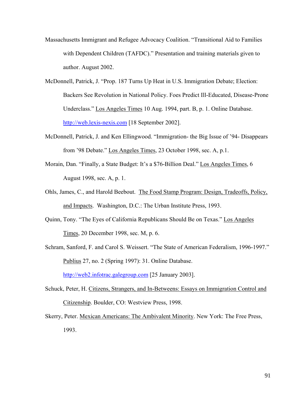- Massachusetts Immigrant and Refugee Advocacy Coalition. "Transitional Aid to Families with Dependent Children (TAFDC)." Presentation and training materials given to author. August 2002.
- McDonnell, Patrick, J. "Prop. 187 Turns Up Heat in U.S. Immigration Debate; Election: Backers See Revolution in National Policy. Foes Predict Ill-Educated, Disease-Prone Underclass." Los Angeles Times 10 Aug. 1994, part. B, p. 1. Online Database. http://web.lexis-nexis.com [18 September 2002].
- McDonnell, Patrick, J. and Ken Ellingwood. "Immigration- the Big Issue of '94- Disappears from '98 Debate." Los Angeles Times, 23 October 1998, sec. A, p.1.
- Morain, Dan. "Finally, a State Budget: It's a \$76-Billion Deal." Los Angeles Times, 6 August 1998, sec. A, p. 1.
- Ohls, James, C., and Harold Beebout. The Food Stamp Program: Design, Tradeoffs, Policy, and Impacts. Washington, D.C.: The Urban Institute Press, 1993.
- Quinn, Tony. "The Eyes of California Republicans Should Be on Texas." Los Angeles Times, 20 December 1998, sec. M, p. 6.
- Schram, Sanford, F. and Carol S. Weissert. "The State of American Federalism, 1996-1997." Publius 27, no. 2 (Spring 1997): 31. Online Database. http://web2.infotrac.galegroup.com [25 January 2003].
- Schuck, Peter, H. Citizens, Strangers, and In-Betweens: Essays on Immigration Control and Citizenship. Boulder, CO: Westview Press, 1998.
- Skerry, Peter. Mexican Americans: The Ambivalent Minority. New York: The Free Press, 1993.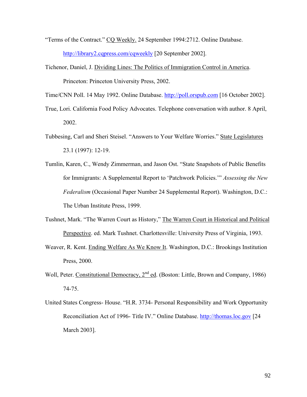- "Terms of the Contract." CQ Weekly. 24 September 1994:2712. Online Database. http://library2.cqpress.com/cqweekly [20 September 2002].
- Tichenor, Daniel, J. Dividing Lines: The Politics of Immigration Control in America. Princeton: Princeton University Press, 2002.

Time/CNN Poll. 14 May 1992. Online Database. http://poll.orspub.com [16 October 2002].

- True, Lori. California Food Policy Advocates. Telephone conversation with author. 8 April, 2002.
- Tubbesing, Carl and Sheri Steisel. "Answers to Your Welfare Worries." State Legislatures 23.1 (1997): 12-19.
- Tumlin, Karen, C., Wendy Zimmerman, and Jason Ost. "State Snapshots of Public Benefits for Immigrants: A Supplemental Report to 'Patchwork Policies.'" *Assessing the New Federalism* (Occasional Paper Number 24 Supplemental Report). Washington, D.C.: The Urban Institute Press, 1999.
- Tushnet, Mark. "The Warren Court as History," The Warren Court in Historical and Political Perspective. ed. Mark Tushnet. Charlottesville: University Press of Virginia, 1993.
- Weaver, R. Kent. Ending Welfare As We Know It. Washington, D.C.: Brookings Institution Press, 2000.
- Woll, Peter. Constitutional Democracy,  $2<sup>nd</sup>$  ed. (Boston: Little, Brown and Company, 1986) 74-75.
- United States Congress- House. "H.R. 3734- Personal Responsibility and Work Opportunity Reconciliation Act of 1996- Title IV." Online Database. http://thomas.loc.gov [24] March 2003].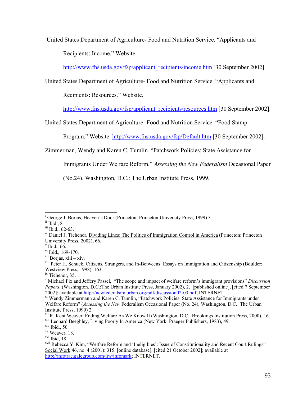United States Department of Agriculture- Food and Nutrition Service. "Applicants and Recipients: Income." Website.

http://www.fns.usda.gov/fsp/applicant\_recipients/income.htm [30 September 2002].

United States Department of Agriculture- Food and Nutrition Service. "Applicants and

Recipients: Resources." Website.

http://www.fns.usda.gov/fsp/applicant\_recipients/resources.htm [30 September 2002].

United States Department of Agriculture- Food and Nutrition Service. "Food Stamp

Program." Website. http://www.fns.usda.gov/fsp/Default.htm [30 September 2002].

Zimmerman, Wendy and Karen C. Tumlin. "Patchwork Policies: State Assistance for

Immigrants Under Welfare Reform." *Assessing the New Federalism* Occasional Paper

(No.24). Washington, D.C.: The Urban Institute Press, 1999.

 $\overline{\phantom{a}}$ 

<sup>&</sup>lt;sup>i</sup> George J. Borjas, <u>Heaven's Door</u> (Princeton: Princeton University Press, 1999) 31. ii Ibid., 8

iii Ibid., 62-63.

<sup>&</sup>lt;sup>iv</sup> Daniel J. Tichenor, Dividing Lines: The Politics of Immigration Control in America (Princeton: Princeton University Press, 2002), 66.

 $v$  Ibid., 66.

 $v$ <sup>i</sup> Ibid., 169-170.

 $\frac{\text{vii}}{\text{8}}$  Borias, xiii – xiv.

viii Peter H. Schuck, Citizens, Strangers, and In-Betweens: Essays on Immigration and Citizenship (Boulder: Westview Press, 1998), 163.

ix Tichenor, 35.

x Michael Fix and Jeffery Passel, "The scope and impact of welfare reform's immigrant provisions" *Discussion Papers*, (Washington, D.C.:The Urban Institute Press, January 2002), 2. [published online], [cited 7 September 2002]; available at http://newfederalsim.urban.org/pdf/discussion02-03.pdf; INTERNET.

<sup>&</sup>lt;sup>xi</sup> Wendy Zimmermann and Karen C. Tumlin, "Patchwork Policies: State Assistance for Immigrants under Welfare Reform" (*Assessing the New* Federalism Occasional Paper (No. 24), Washington, D.C.: The Urban

Institute Press, 1999) 2.<br><sup>xii</sup> R. Kent Weaver, <u>Ending Welfare As We Know It</u> (Washington, D.C.: Brookings Institution Press, 2000), 16.<br><sup>xii</sup> Leonard Beeghley, <u>Living Poorly In America</u> (New York: Praeger Publishers, 19

<sup>&</sup>lt;sup>xv</sup> Weaver, 18.

 $xvi$  Ibid, 18.

xvii Rebecca Y. Kim, "Welfare Reform and 'Ineligibles': Issue of Constitutionality and Recent Court Rulings" Social Work 46, no. 4 (2001): 315. [online database], [cited 21 October 2002]; available at http://infotrac.galegroup.com/itw/infomark; INTERNET.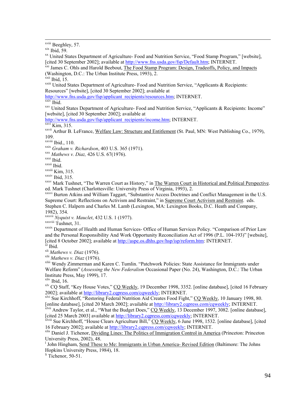x<sup>iii</sup> Beeghley, 57.<br>xix Ibid, 59.<br>xx United States Department of Agriculture- Food and Nutrition Service, "Food Stamp Program," [website], [cited 30 September 2002]; available at <u>http://www.fns.usda.gov/fsp/Default.htm;</u> INTERNET.<br><sup>xxi</sup> James C. Ohls and Harold Beebout, The Food Stamp Program: Design, Tradeoffs, Policy, and Impacts

(Washington, D.C.: The Urban Institute Press, 1993), 2.

 $x$ <sup>xxiii</sup> United States Department of Agriculture- Food and Nutrition Service, "Applicants & Recipients: Resources" [website], [cited 30 September 2002]; available at

http://www.fns.usda.gov/fsp/applicant\_recipients/resources.htm; INTERNET.

xxv United States Department of Agriculture- Food and Nutrition Service, "Applicants & Recipients: Income" [website], [cited 30 September 2002]; available at

http://www.fns.usda.gov/fsp/applicant\_recipients/income.htm; INTERNET.

xxvi Kim, 315.

xxvii Arthur B. LeFrance, Welfare Law: Structure and Entitlement (St. Paul, MN: West Publishing Co., 1979), 109.<br>xxviii Ibid., 110.

xxix *Graham v. Richardson*, 403 U.S. 365 (1971).<br>
xxx *Mathews v. Diaz*, 426 U.S. 67(1976).<br>
xxxii Ibid. xxxiii Kim, 315.<br>
xxxii Kim, 315.<br>
xxxiv Ibid. 315.

xxxv Mark Tushnet, "The Warren Court as History," in The Warren Court in Historical and Political Perspective. ed. Mark Tushnet (Charlottesville: University Press of Virginia, 1993), 2.

xxxvi Burton Atkins and William Taggart, "Substantive Access Doctrines and Conflict Management in the U.S. Supreme Court: Reflections on Activism and Restraint," in Supreme Court Activism and Restraint. eds. Stephen C. Halpern and Charles M. Lamb (Lexington, MA: Lexington Books, D.C. Heath and Company, 1982), 354.

xxxvii *Nyquist v. Mauclet*, 432 U.S. 1 (1977).

xxxix Department of Health and Human Services- Office of Human Services Policy. "Comparison of Prior Law and the Personal Responsibility And Work Opportunity Reconciliation Act of 1996 (P.L. 104-193)" [website], [cited 8 October 2002]; available at <u>http://aspe.os.dhhs.gov/hsp/isp/reform.htm</u>: INTERNET.<br>
<sup>xl</sup> Ibid.<br>
<sup>xli</sup> *Mathews v. Diaz* (1976).

xli *Mathews v. Diaz* (1976). xlii *Mathews v. Diaz* (1976). xliii Wendy Zimmerman and Karen C. Tumlin. "Patchwork Policies: State Assistance for Immigrants under Welfare Reform" (*Assessing the New Federalism* Occasional Paper (No. 24), Washington, D.C.: The Urban Institute Press, May 1999), 17.

 $x$ liv Ibid, 16.

<sup>xlv</sup> CQ Staff, "Key House Votes," CQ Weekly, 19 December 1998, 3352. [online database], [cited 16 February 2002]; available at http://library2.cqpress.com/cqweekly; INTERNET.

xlvi Sue Kirchhoff, "Restoring Federal Nutrition Aid Creates Food Fight," CQ Weekly, 10 January 1998, 80. [online database], [cited 20 March 2002]; available at http://library2.cqpress.com/cqweekly; INTERNET.

 $\bar{x}$ lvii Andrew Taylor, et al., "What the Budget Does," CO Weekly, 13 December 1997, 3082. [online database], [cited 25 March 2003] available at http://library2.cqpress.com/cqweekly; INTERNET.

<sup>xlviii</sup> Sue Kirchhoff, "House Clears Agriculture Bill," CQ Weekly, 6 June 1998, 1532. [online database], [cited 16 February 2002]; available at http://library2.cqpress.com/cqweekly; INTERNET.<br>
<sup>xlix</sup> Daniel J. Tichenor, Dividing Lines: The Politics of Immigration Control in America (Princeton: Princeton

University Press, 2002), 48.

<sup>1</sup> John Hingham, Send These to Me: Immigrants in Urban America- Revised Edition (Baltimore: The Johns Hopkins University Press, 1984), 18.

 $\text{li}$  Tichenor, 50-51.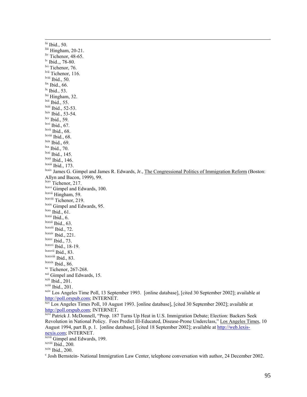lii Ibid., 50.  $\lim_{n \to \infty}$  Hingham, 20-21. liv Tichenor, 48-65. <sup>lv</sup> Ibid., 78-80. lvi Tichenor, 76. lvii Tichenor, 116.  $\frac{\text{lviii}}{\text{lix}}$  Ibid., 66.  $\frac{1}{x}$  Ibid., 53.  $\frac{\text{lxi}}{\text{lxii}}$  Hingham, 32.  $l<sub>xiii</sub>$  Ibid., 52-53. lxiv Ibid., 53-54.  $\frac{\text{h}^{1}}{1}$  Ibid., 59.  $l$ <sup>lxvi</sup> Ibid., 67.  $\frac{\text{hwii}}{\text{hwiii}}$  Ibid., 68.  $\frac{\text{Rxi}}{\text{lxdi}}$  Ibid., 70.<br>lxxi Ibid., 145.<br>lxxii Ibid., 146.<br>lxxiii Ibid., 173. lxxiv James G. Gimpel and James R. Edwards, Jr., The Congressional Politics of Immigration Reform (Boston: Allyn and Bacon, 1999), 99. lxxv Tichenor, 217. lxxvi Gimpel and Edwards, 100. <sup>lxxvii</sup> Hingham, 59.<br><sup>lxxviii</sup> Tichenor, 219. <sup>lxxix</sup> Gimpel and Edwards, 95. lxxxi Ibid., 61. lxxxii Ibid., 6. lxxxiii Ibid., 63. lxxxiii Ibid., 72. lxxxiv Ibid., 221. lxxxv Ibid., 73. lxxxvi Ibid., 18-19. <sup>lxxxvii</sup> Ibid., 83.<br><sup>lxxxviii</sup> Ibid., 83. <sup>lxxxix</sup> Ibid., 86.  $\frac{36}{x}$  Tichenor, 267-268. <sup>xci</sup> Gimpel and Edwards, 15. xcii Ibid., 201.  $x$ ciii Ibid., 201. xciv Los Angeles Time Poll, 13 September 1993. [online database], [cited 30 September 2002]; available at http://poll.orspub.com; INTERNET.  $\frac{x}{x}$  Los Angeles Times Poll, 10 August 1993. [online database], [cited 30 September 2002]; available at http://poll.orspub.com; INTERNET. xcvi Patrick J. McDonnell, "Prop. 187 Turns Up Heat in U.S. Immigration Debate; Election: Backers Seek Revolution in National Policy. Foes Predict Ill-Educated, Disease-Prone Underclass," Los Angeles Times, 10 August 1994, part B, p. 1. [online database], [cited 18 September 2002]; available at http://web.lexisnexis.com; INTERNET. xcvii Gimpel and Edwards, 199. xcviii Ibid., 200.  $x$ cix Ibid., 200.

 $\degree$  Josh Bernstein- National Immigration Law Center, telephone conversation with author, 24 December 2002.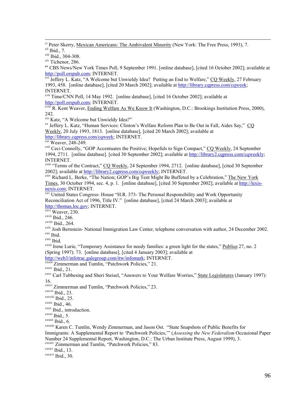<sup>ci</sup> Peter Skerry, Mexican Americans: The Ambivalent Minority (New York: The Free Press, 1993), 7.  $\text{cii}$  Ibid., 7.

ciii Ibid., 304-308.

<sup>civ</sup> Tichenor, 286.<br><sup>ev</sup> CBS News/New York Times Poll, 9 September 1991. [online database], [cited 16 October 2002]; available at http://poll.orspub.com; INTERNET.<br><sup>cvi</sup> Jeffery L. Katz, "A Welcome but Unwieldy Idea? Putting an End to Welfare," CQ Weekly, 27 February

1993, 458. [online database], [cited 20 March 2002]; available at http://library.cqpress.com/cqweek; INTERNET.

cvii Time/CNN Poll, 14 May 1992. [online database], [cited 16 October 2002]; available at http://poll.orspub.com; INTERNET.

 $\overline{c}$ <sup>viii</sup> R. Kent Weaver, Ending Welfare As We Know It (Washington, D.C.: Brookings Institution Press, 2000), 242.<br><sup>cix</sup> Katz, "A Welcome but Unwieldy Idea?"

 $\alpha$  Jeffery L. Katz, "Human Services: Clinton's Welfare Reform Plan to Be Out in Fall, Aides Say," CO Weekly, 20 July 1993, 1813. [online database], [cited 20 March 2002]; available at http://library.cqpress.com/cqweek; INTERNET.

<sup>cxi</sup> Weaver, 248-249.

<sup>cxii</sup> Ceci Connolly, "GOP Accentuates the Positive; Hopefuls to Sign Compact," CQ Weekly, 24 September 1994, 2711. [online database]. [cited 30 September 2002]; available at http://library2.cqpress.com/cqweekly; INTERNET.

<sup>cxiii</sup> "Terms of the Contract," CQ Weekly, 24 September 1994, 2712. [online database], [cited 30 September 2002]; available at http://library2.cqpress.com/cqweekly; INTERNET.

<sup>cxiv</sup> Richard L. Berke, "The Nation; GOP's Big Tent Might Be Buffeted by a Celebration," The New York Times, 30 October 1994, sec. 4, p. 1. [online database], [cited 30 September 2002]; available at http://lexisnexis.com; INTERNET.<br><sup>cxv</sup> United States Congress- House "H.R. 373- The Personal Responsibility and Work Opportunity

Reconciliation Act of 1996, Title IV." [online database], [cited 24 March 2003]; available at http://thomas.loc.gov; INTERNET.

cxvi Weaver, 230.

 $c$ <sup>cxvii</sup> Ibid., 246.

cxviii Ibid., 264.

cxix Josh Bernstein- National Immigration Law Center, telephone conversation with author, 24 December 2002.<br>
<sup>cxx</sup> Ibid.

cxxi Ibid.

<sup>cxxii</sup> Irene Lurie, "Temporary Assistance for needy families: a green light for the states," Publius 27, no. 2 (Spring 1997): 73. [online database], [cited 4 January 2003]; available at

http://web3/infotrac.galegroup.com/itw/infomark; INTERNET.

<sup>exxii</sup>i Zimmerman and Tumlin, "Patchwork Policies," 21.<br><sup>exxiv</sup> Ibid., 21.

<sup>cxxv</sup> Carl Tubbesing and Sheri Steisel, "Answers to Your Welfare Worries," State Legislatures (January 1997): 16.

cxxvi Zimmerman and Tumlin, "Patchwork Policies," 23.

cxxvii Ibid., 23.

 $\frac{\text{cxxviii}}{\text{cxxix}}$  Ibid., 46.

 $\alpha$ <sup>cxxx</sup> Ibid., introduction.

 $c$ <sup>cxxxi</sup> Ibid., 5.

cxxxii Ibid., 6.

cxxxiii Karen C. Tumlin, Wendy Zimmerman, and Jason Ost. "State Snapshots of Public Benefits for Immigrants: A Supplemental Report to 'Patchwork Policies,'" (*Assessing the New Federalism* Occasional Paper Number 24 Supplemental Report, Washington, D.C.: The Urban Institute Press, August 1999), 3.

cxxxiv Zimmerman and Tumlin, "Patchwork Policies," 83. cxxxv Ibid., 13.

cxxxvi Ibid., 30.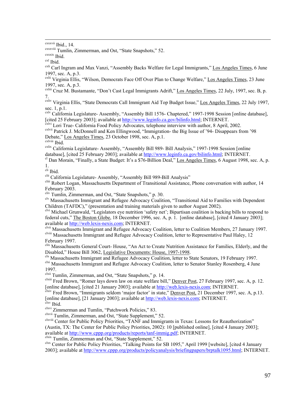cxxxvii Ibid., 14.

cxxxviii Tumlin, Zimmerman, and Ost, "State Snapshots," 52.

cxl Ibid.

<sup>cxli</sup> Carl Ingram and Max Vanzi, "Assembly Backs Welfare for Legal Immigrants," Los Angeles Times, 6 June 1997, sec. A, p.3.

<sup>cxlii</sup> Virginia Ellis, "Wilson, Democrats Face Off Over Plan to Change Welfare," Los Angeles Times, 23 June 1997, sec. A, p.3.

cxliii Cruz M. Bustamante, "Don't Cast Legal Immigrants Adrift," Los Angeles Times, 22 July, 1997, sec. B, p. 7.

<sup>cxliv</sup> Virginia Ellis, "State Democrats Call Immigrant Aid Top Budget Issue," Los Angeles Times, 22 July 1997, sec. 1, p.1.

<sup>cxlv</sup> California Legislature- Assembly, "Assembly Bill 1576- Chaptered," 1997-1998 Session [online database], [cited 25 February 2003]; available at http://www.leginfo.ca.gov/bilinfo.html; INTERNET.

<sup>cxlvi</sup> Lori True- California Food Policy Advocates, telephone interview with author, 8 April, 2002.

cxlvii Patrick J. McDonnell and Ken Ellingwood, "Immigration- the Big Issue of '94- Disappears from '98 Debate," Los Angeles Times, 23 October 1998, sec. A, p.1.

cxlviii Ibid.

cxlix California Legislature- Assembly, "Assembly Bill 989- Bill Analysis," 1997-1998 Session [online database], [cited 25 February 2003]; available at http://www.leginfo.ca.gov/bilinfo.html; INTERNET.

<sup>cl</sup> Dan Morain, "Finally, a State Budget: It's a \$76-Billion Deal," Los Angeles Times, 6 August 1998, sec. A, p. 1.

cli Ibid.

clii California Legislature- Assembly, "Assembly Bill 989-Bill Analysis"

cliii Robert Logan, Massachusetts Department of Transitional Assistance, Phone conversation with author, 14 February 2003.

cliv Tumlin, Zimmerman, and Ost, "State Snapshots," p. 30.

<sup>clv</sup> Massachusetts Immigrant and Refugee Advocacy Coalition, "Transitional Aid to Families with Dependent Children (TAFDC)," (presentation and training materials given to author August 2002).

clvi Michael Grunwald, "Legislators eye nutrition 'safety net'; Bipartisan coalition is backing bills to respond to federal cuts," The Boston Globe, 18 December 1996, sec. A, p. 1. [online database], [cited 4 January 2003]; available at http://web.lexis-nexis.com; INTERNET.

cluin Massachusetts Immigrant and Refugee Advocacy Coalition, letter to Coalition Members, 27 January 1997. clviii Massachusetts Immigrant and Refugee Advocacy Coalition, letter to Representative Paul Haley, 12 February 1997.

clix Massachusetts General Court- House, "An Act to Create Nutrition Assistance for Families, Elderly, and the Disabled," House Bill 3062, Legislative Documents: House, 1997-1998.<br><sup>clx</sup> Massachusetts Immigrant and Refugee Advocacy Coalition, letter to State Senators, 19 February 1997.

clxi Massachusetts Immigrant and Refugee Advocacy Coalition, letter to Senator Stanley Rosenberg, 4 June 1997.

clxii Tumlin, Zimmerman, and Ost, "State Snapshots," p. 14.

clxiii Fred Brown, "Romer lays down law on state welfare bill," Denver Post, 27 February 1997, sec. A, p. 12. [online database], [cited 21 January 2003]; available at http://web.lexis-nexis.com; INTERNET.

clxiv Fred Brown, "Immigrants seldom 'major factor' in state," Denver Post, 21 December 1997, sec. A, p.13. [online database], [21 January 2003]; available at http://web.lexis-nexis.com; INTERNET.

clxv Ibid.

clxvi Zimmerman and Tumlin, "Patchwork Policies," 83.

clxvii Tumlin, Zimmerman, and Ost, "State Supplement," 52.

clxviii Center for Public Policy Priorities, "TANF and Immigrants in Texas: Lessons for Reauthorization" (Austin, TX: The Center for Public Policy Priorities, 2002): 10 [published online], [cited 4 January 2003]; available at http://www.cppp.org/products/reports/tanf-immig.pdf; INTERNET.

clxix Tumlin, Zimmerman and Ost, "State Supplement," 52.

clxx Center for Public Policy Priorities, "Talking Points for SB 1095," April 1999 [website], [cited 4 January 2003]; available at http://www.cppp.org/products/policyanalysis/briefingpapers/brptalk1095.html; INTERNET.

cxxxix Ibid.